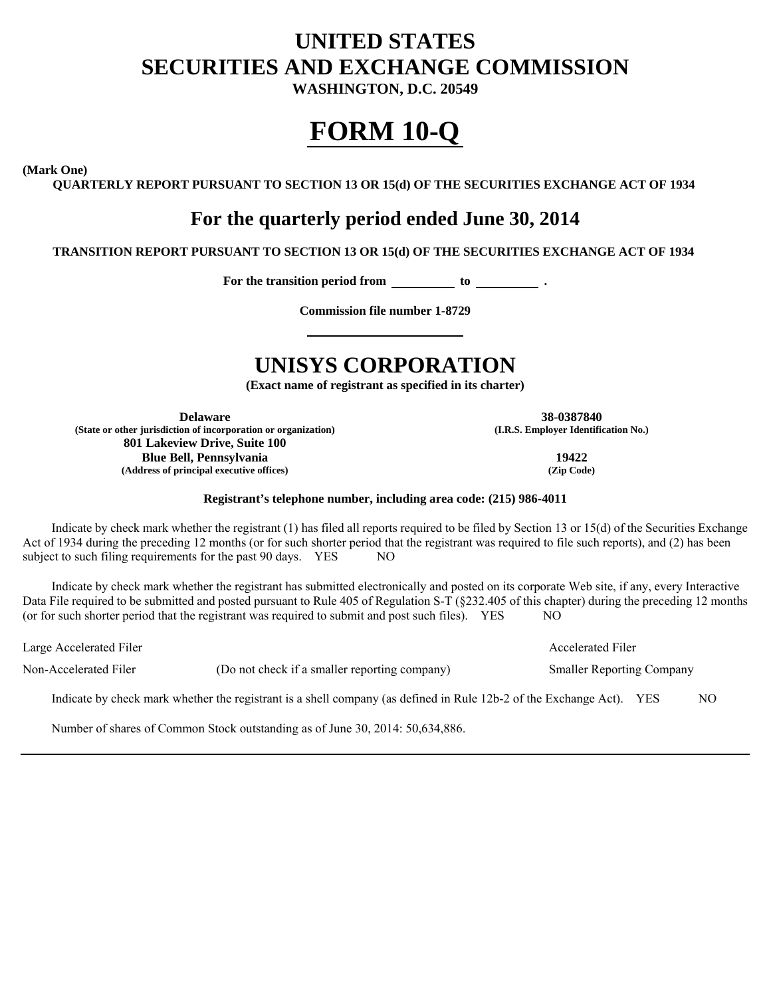## **UNITED STATES SECURITIES AND EXCHANGE COMMISSION**

**WASHINGTON, D.C. 20549** 

# **FORM 10-Q**

**(Mark One)**

**QUARTERLY REPORT PURSUANT TO SECTION 13 OR 15(d) OF THE SECURITIES EXCHANGE ACT OF 1934**

### **For the quarterly period ended June 30, 2014**

**TRANSITION REPORT PURSUANT TO SECTION 13 OR 15(d) OF THE SECURITIES EXCHANGE ACT OF 1934**

**For the transition period from to .**

**Commission file number 1-8729**

## **UNISYS CORPORATION**

**(Exact name of registrant as specified in its charter)** 

**Delaware 38-0387840**<br> **38-0387840**<br> **38-0387840**<br> **1.R.S. Employer Identification No.) (State or other jurisdiction of incorporation or organization) 801 Lakeview Drive, Suite 100 Blue Bell, Pennsylvania 19422**  $(Address of principal executive offices)$ 

#### **Registrant's telephone number, including area code: (215) 986-4011**

Indicate by check mark whether the registrant (1) has filed all reports required to be filed by Section 13 or 15(d) of the Securities Exchange Act of 1934 during the preceding 12 months (or for such shorter period that the registrant was required to file such reports), and (2) has been subject to such filing requirements for the past 90 days. YES NO

Indicate by check mark whether the registrant has submitted electronically and posted on its corporate Web site, if any, every Interactive Data File required to be submitted and posted pursuant to Rule 405 of Regulation S-T (§232.405 of this chapter) during the preceding 12 months (or for such shorter period that the registrant was required to submit and post such files). YES NO

Large Accelerated Filer **Accelerated Filer** Accelerated Filer

Non-Accelerated Filer (Do not check if a smaller reporting company) Smaller Reporting Company

Indicate by check mark whether the registrant is a shell company (as defined in Rule 12b-2 of the Exchange Act). YES NO

Number of shares of Common Stock outstanding as of June 30, 2014: 50,634,886.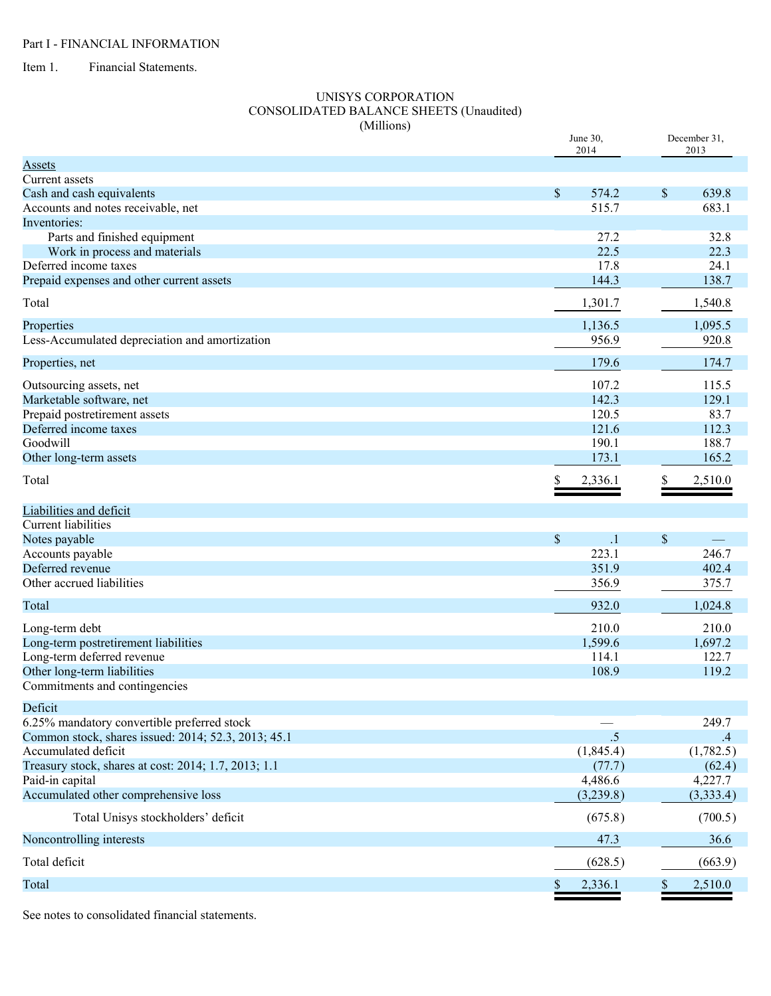Item 1. Financial Statements.

#### UNISYS CORPORATION CONSOLIDATED BALANCE SHEETS (Unaudited) (Millions)

|                                                         | June 30,<br>2014                   | December 31,<br>2013 |
|---------------------------------------------------------|------------------------------------|----------------------|
| <b>Assets</b>                                           |                                    |                      |
| Current assets                                          |                                    |                      |
| Cash and cash equivalents                               | $\boldsymbol{\mathsf{S}}$<br>574.2 | 639.8<br>\$          |
| Accounts and notes receivable, net                      | 515.7                              | 683.1                |
| Inventories:                                            |                                    |                      |
| Parts and finished equipment                            | 27.2                               | 32.8                 |
| Work in process and materials                           | 22.5                               | 22.3                 |
| Deferred income taxes                                   | 17.8                               | 24.1                 |
| Prepaid expenses and other current assets               | 144.3                              | 138.7                |
| Total                                                   | 1,301.7                            | 1,540.8              |
| Properties                                              | 1,136.5                            | 1,095.5              |
| Less-Accumulated depreciation and amortization          | 956.9                              | 920.8                |
| Properties, net                                         | 179.6                              | 174.7                |
| Outsourcing assets, net                                 | 107.2                              | 115.5                |
| Marketable software, net                                | 142.3                              | 129.1                |
| Prepaid postretirement assets                           | 120.5                              | 83.7                 |
| Deferred income taxes                                   | 121.6                              | 112.3                |
| Goodwill                                                | 190.1                              | 188.7                |
| Other long-term assets                                  | 173.1                              | 165.2                |
| Total                                                   | 2,336.1                            | 2,510.0              |
| Liabilities and deficit                                 |                                    |                      |
| <b>Current liabilities</b>                              |                                    |                      |
| Notes payable                                           | $\mathbb S$<br>$\cdot$             | $\$$                 |
| Accounts payable                                        | 223.1                              | 246.7                |
| Deferred revenue                                        | 351.9                              | 402.4                |
| Other accrued liabilities                               | 356.9                              | 375.7                |
| Total                                                   | 932.0                              | 1,024.8              |
|                                                         |                                    |                      |
| Long-term debt                                          | 210.0                              | 210.0                |
| Long-term postretirement liabilities                    | 1,599.6                            | 1,697.2              |
| Long-term deferred revenue                              | 114.1                              | 122.7                |
| Other long-term liabilities                             | 108.9                              | 119.2                |
| Commitments and contingencies                           |                                    |                      |
| Deficit                                                 |                                    |                      |
| 6.25% mandatory convertible preferred stock             |                                    | 249.7                |
| Common stock, shares issued: 2014; 52.3, 2013; 45.1     | .5                                 | .4                   |
| Accumulated deficit                                     | (1, 845.4)                         | (1,782.5)            |
| Treasury stock, shares at cost: 2014; 1.7, 2013; 1.1    | (77.7)                             | (62.4)               |
| Paid-in capital<br>Accumulated other comprehensive loss | 4,486.6<br>(3,239.8)               | 4,227.7<br>(3,333.4) |
|                                                         |                                    |                      |
| Total Unisys stockholders' deficit                      | (675.8)                            | (700.5)              |
| Noncontrolling interests                                | 47.3                               | 36.6                 |
| Total deficit                                           | (628.5)                            | (663.9)              |
| Total                                                   | 2,336.1                            | \$<br>2,510.0        |

See notes to consolidated financial statements.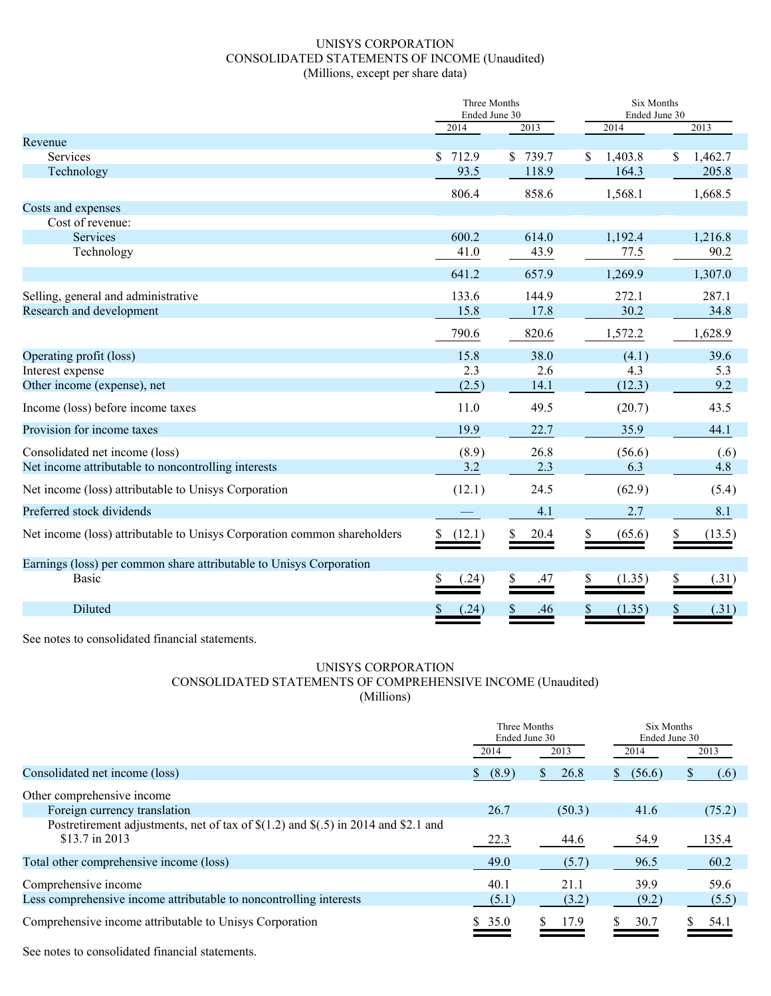#### UNISYS CORPORATION CONSOLIDATED STATEMENTS OF INCOME (Unaudited) (Millions, except per share data)

|                                                                          | Three Months<br>Ended June 30 |             | Six Months<br>Ended June 30 |               |
|--------------------------------------------------------------------------|-------------------------------|-------------|-----------------------------|---------------|
|                                                                          | 2014                          | 2013        | 2014                        | 2013          |
| Revenue                                                                  |                               |             |                             |               |
| Services                                                                 | 712.9<br>$\mathbb{S}$         | 739.7<br>\$ | 1,403.8<br>\$               | \$<br>1,462.7 |
| Technology                                                               | 93.5                          | 118.9       | 164.3                       | 205.8         |
|                                                                          | 806.4                         | 858.6       | 1,568.1                     | 1,668.5       |
| Costs and expenses                                                       |                               |             |                             |               |
| Cost of revenue:                                                         |                               |             |                             |               |
| Services                                                                 | 600.2                         | 614.0       | 1,192.4                     | 1,216.8       |
| Technology                                                               | 41.0                          | 43.9        | 77.5                        | 90.2          |
|                                                                          | 641.2                         | 657.9       | 1,269.9                     | 1,307.0       |
| Selling, general and administrative                                      | 133.6                         | 144.9       | 272.1                       | 287.1         |
| Research and development                                                 | 15.8                          | 17.8        | 30.2                        | 34.8          |
|                                                                          | 790.6                         | 820.6       | 1,572.2                     | 1,628.9       |
| Operating profit (loss)                                                  | 15.8                          | 38.0        | (4.1)                       | 39.6          |
| Interest expense                                                         | 2.3                           | 2.6         | 4.3                         | 5.3           |
| Other income (expense), net                                              | (2.5)                         | 14.1        | (12.3)                      | 9.2           |
| Income (loss) before income taxes                                        | 11.0                          | 49.5        | (20.7)                      | 43.5          |
| Provision for income taxes                                               | 19.9                          | 22.7        | 35.9                        | 44.1          |
| Consolidated net income (loss)                                           | (8.9)                         | 26.8        | (56.6)                      | (.6)          |
| Net income attributable to noncontrolling interests                      | 3.2                           | 2.3         | 6.3                         | 4.8           |
| Net income (loss) attributable to Unisys Corporation                     | (12.1)                        | 24.5        | (62.9)                      | (5.4)         |
| Preferred stock dividends                                                |                               | 4.1         | 2.7                         | 8.1           |
| Net income (loss) attributable to Unisys Corporation common shareholders | (12.1)                        | \$<br>20.4  | \$<br>(65.6)                | (13.5)        |
| Earnings (loss) per common share attributable to Unisys Corporation      |                               |             |                             |               |
| <b>Basic</b>                                                             | $.24^\circ$                   | .47         | (1.35)                      | (31)          |
| Diluted                                                                  | (.24)<br>\$                   | \$<br>.46   | \$<br>(1.35)                | \$<br>(.31)   |

See notes to consolidated financial statements.

#### UNISYS CORPORATION CONSOLIDATED STATEMENTS OF COMPREHENSIVE INCOME (Unaudited) (Millions)

|                                                                                                          | Three Months<br>Ended June 30 |            | Six Months<br>Ended June 30 |        |  |  |
|----------------------------------------------------------------------------------------------------------|-------------------------------|------------|-----------------------------|--------|--|--|
|                                                                                                          | 2013<br>2014                  |            | 2014                        | 2013   |  |  |
| Consolidated net income (loss)                                                                           | (8.9)<br>S.                   | 26.8<br>S. | (56.6)<br>S.                | (.6)   |  |  |
| Other comprehensive income                                                                               |                               |            |                             |        |  |  |
| Foreign currency translation                                                                             | 26.7                          | (50.3)     | 41.6                        | (75.2) |  |  |
| Postretirement adjustments, net of tax of $\$(1.2)$ and $\$(.5)$ in 2014 and \$2.1 and<br>\$13.7 in 2013 | 22.3                          | 44.6       | 54.9                        | 135.4  |  |  |
| Total other comprehensive income (loss)                                                                  | 49.0                          | (5.7)      | 96.5                        | 60.2   |  |  |
| Comprehensive income                                                                                     | 40.1                          | 21.1       | 39.9                        | 59.6   |  |  |
| Less comprehensive income attributable to noncontrolling interests                                       | (5.1)                         | (3.2)      | (9.2)                       | (5.5)  |  |  |
| Comprehensive income attributable to Unisys Corporation                                                  | \$35.0                        | 17.9       | 30.7                        | 54.1   |  |  |

See notes to consolidated financial statements.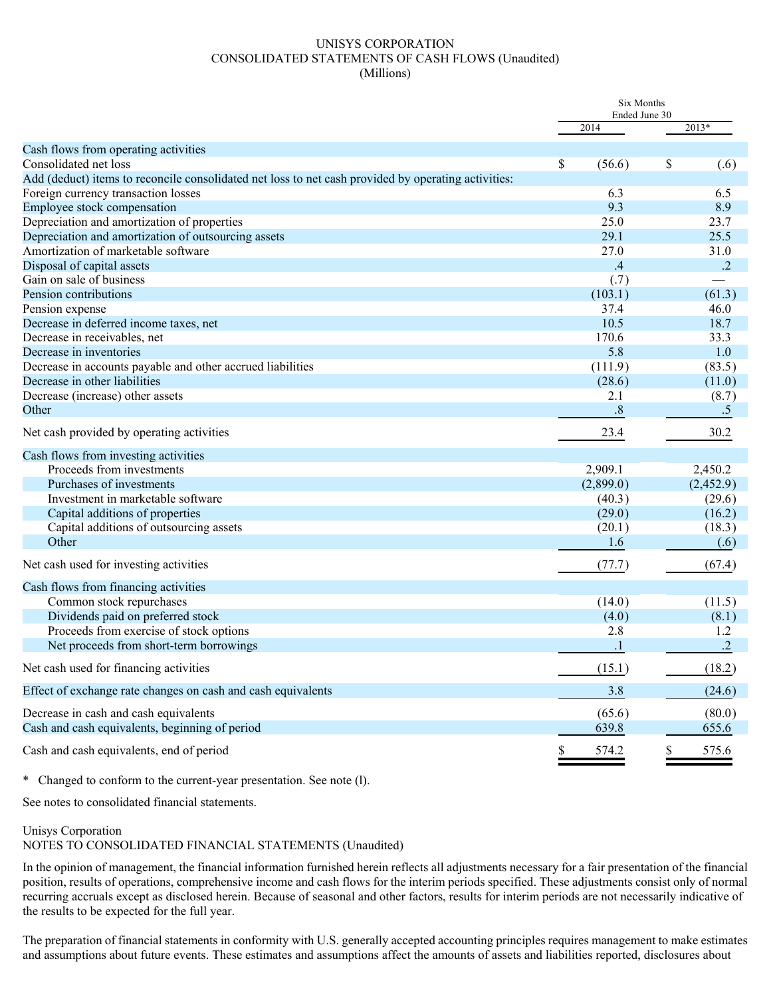#### UNISYS CORPORATION CONSOLIDATED STATEMENTS OF CASH FLOWS (Unaudited) (Millions)

|                                                                                                     | Six Months<br>Ended June 30 |           |    |                |  |
|-----------------------------------------------------------------------------------------------------|-----------------------------|-----------|----|----------------|--|
|                                                                                                     |                             | 2014      |    | $2013*$        |  |
| Cash flows from operating activities                                                                |                             |           |    |                |  |
| Consolidated net loss                                                                               | \$                          | (56.6)    | \$ | (.6)           |  |
| Add (deduct) items to reconcile consolidated net loss to net cash provided by operating activities: |                             |           |    |                |  |
| Foreign currency transaction losses                                                                 |                             | 6.3       |    | 6.5            |  |
| Employee stock compensation                                                                         |                             | 9.3       |    | 8.9            |  |
| Depreciation and amortization of properties                                                         |                             | 25.0      |    | 23.7           |  |
| Depreciation and amortization of outsourcing assets                                                 |                             | 29.1      |    | 25.5           |  |
| Amortization of marketable software                                                                 |                             | 27.0      |    | 31.0           |  |
| Disposal of capital assets                                                                          |                             | .4        |    | $\overline{2}$ |  |
| Gain on sale of business                                                                            |                             | (.7)      |    |                |  |
| Pension contributions                                                                               |                             | (103.1)   |    | (61.3)         |  |
| Pension expense                                                                                     |                             | 37.4      |    | 46.0           |  |
| Decrease in deferred income taxes, net                                                              |                             | 10.5      |    | 18.7           |  |
| Decrease in receivables, net                                                                        |                             | 170.6     |    | 33.3           |  |
| Decrease in inventories                                                                             |                             | 5.8       |    | 1.0            |  |
| Decrease in accounts payable and other accrued liabilities                                          |                             | (111.9)   |    | (83.5)         |  |
| Decrease in other liabilities                                                                       |                             | (28.6)    |    | (11.0)         |  |
| Decrease (increase) other assets                                                                    |                             | 2.1       |    | (8.7)          |  |
| Other                                                                                               |                             | .8        |    | $.5\,$         |  |
| Net cash provided by operating activities                                                           |                             | 23.4      |    | 30.2           |  |
| Cash flows from investing activities                                                                |                             |           |    |                |  |
| Proceeds from investments                                                                           |                             | 2,909.1   |    | 2,450.2        |  |
| Purchases of investments                                                                            |                             | (2,899.0) |    | (2,452.9)      |  |
| Investment in marketable software                                                                   |                             | (40.3)    |    | (29.6)         |  |
| Capital additions of properties                                                                     |                             | (29.0)    |    | (16.2)         |  |
| Capital additions of outsourcing assets                                                             |                             | (20.1)    |    | (18.3)         |  |
| Other                                                                                               |                             | 1.6       |    | (.6)           |  |
| Net cash used for investing activities                                                              |                             | (77.7)    |    | (67.4)         |  |
| Cash flows from financing activities                                                                |                             |           |    |                |  |
| Common stock repurchases                                                                            |                             | (14.0)    |    | (11.5)         |  |
| Dividends paid on preferred stock                                                                   |                             | (4.0)     |    | (8.1)          |  |
| Proceeds from exercise of stock options                                                             |                             | 2.8       |    | 1.2            |  |
| Net proceeds from short-term borrowings                                                             |                             | $\cdot$   |    | $\cdot$ .2     |  |
| Net cash used for financing activities                                                              |                             | (15.1)    |    | (18.2)         |  |
| Effect of exchange rate changes on cash and cash equivalents                                        |                             | 3.8       |    | (24.6)         |  |
| Decrease in cash and cash equivalents                                                               |                             | (65.6)    |    | (80.0)         |  |
| Cash and cash equivalents, beginning of period                                                      |                             | 639.8     |    | 655.6          |  |
| Cash and cash equivalents, end of period                                                            |                             | 574.2     |    | 575.6          |  |
|                                                                                                     |                             |           |    |                |  |

\* Changed to conform to the current-year presentation. See note (l).

See notes to consolidated financial statements.

Unisys Corporation NOTES TO CONSOLIDATED FINANCIAL STATEMENTS (Unaudited)

In the opinion of management, the financial information furnished herein reflects all adjustments necessary for a fair presentation of the financial position, results of operations, comprehensive income and cash flows for the interim periods specified. These adjustments consist only of normal recurring accruals except as disclosed herein. Because of seasonal and other factors, results for interim periods are not necessarily indicative of the results to be expected for the full year.

The preparation of financial statements in conformity with U.S. generally accepted accounting principles requires management to make estimates and assumptions about future events. These estimates and assumptions affect the amounts of assets and liabilities reported, disclosures about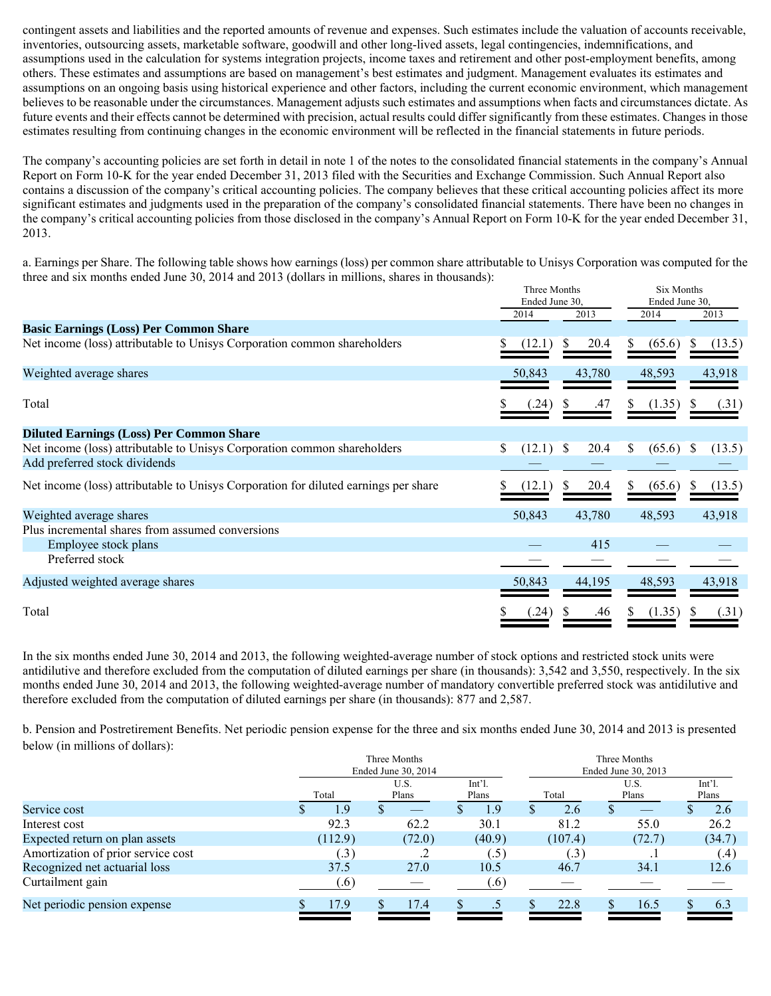contingent assets and liabilities and the reported amounts of revenue and expenses. Such estimates include the valuation of accounts receivable, inventories, outsourcing assets, marketable software, goodwill and other long-lived assets, legal contingencies, indemnifications, and assumptions used in the calculation for systems integration projects, income taxes and retirement and other post-employment benefits, among others. These estimates and assumptions are based on management's best estimates and judgment. Management evaluates its estimates and assumptions on an ongoing basis using historical experience and other factors, including the current economic environment, which management believes to be reasonable under the circumstances. Management adjusts such estimates and assumptions when facts and circumstances dictate. As future events and their effects cannot be determined with precision, actual results could differ significantly from these estimates. Changes in those estimates resulting from continuing changes in the economic environment will be reflected in the financial statements in future periods.

The company's accounting policies are set forth in detail in note 1 of the notes to the consolidated financial statements in the company's Annual Report on Form 10-K for the year ended December 31, 2013 filed with the Securities and Exchange Commission. Such Annual Report also contains a discussion of the company's critical accounting policies. The company believes that these critical accounting policies affect its more significant estimates and judgments used in the preparation of the company's consolidated financial statements. There have been no changes in the company's critical accounting policies from those disclosed in the company's Annual Report on Form 10-K for the year ended December 31, 2013.

a. Earnings per Share. The following table shows how earnings (loss) per common share attributable to Unisys Corporation was computed for the three and six months ended June 30, 2014 and 2013 (dollars in millions, shares in thousands):

|                                                                                     | Three Months<br>Ended June 30,<br>2014 | 2013   | Six Months<br>Ended June 30,<br>2014 | 2013                   |  |
|-------------------------------------------------------------------------------------|----------------------------------------|--------|--------------------------------------|------------------------|--|
| <b>Basic Earnings (Loss) Per Common Share</b>                                       |                                        |        |                                      |                        |  |
| Net income (loss) attributable to Unisys Corporation common shareholders            | (12.1)                                 | 20.4   | (65.6)                               | (13.5)                 |  |
| Weighted average shares                                                             | 50,843                                 | 43,780 | 48,593                               | 43,918                 |  |
|                                                                                     |                                        |        |                                      |                        |  |
| Total                                                                               | (.24)                                  | .47    | (1.35)<br>Y.                         | (.31)                  |  |
| <b>Diluted Earnings (Loss) Per Common Share</b>                                     |                                        |        |                                      |                        |  |
| Net income (loss) attributable to Unisys Corporation common shareholders            | S.<br>$(12.1)$ \$                      | 20.4   | (65.6)<br>S.                         | (13.5)<br><sup>S</sup> |  |
| Add preferred stock dividends                                                       |                                        |        |                                      |                        |  |
| Net income (loss) attributable to Unisys Corporation for diluted earnings per share | (12.1)                                 | 20.4   | (65.6)<br>S.                         | (13.5)                 |  |
| Weighted average shares                                                             | 50,843                                 | 43,780 | 48,593                               | 43,918                 |  |
| Plus incremental shares from assumed conversions                                    |                                        |        |                                      |                        |  |
| Employee stock plans                                                                |                                        | 415    |                                      |                        |  |
| Preferred stock                                                                     |                                        |        |                                      |                        |  |
| Adjusted weighted average shares                                                    | 50,843                                 | 44,195 | 48,593                               | 43,918                 |  |
|                                                                                     |                                        |        |                                      |                        |  |
| Total                                                                               | (.24)                                  | .46    | (1.35)                               | (.31)                  |  |

In the six months ended June 30, 2014 and 2013, the following weighted-average number of stock options and restricted stock units were antidilutive and therefore excluded from the computation of diluted earnings per share (in thousands): 3,542 and 3,550, respectively. In the six months ended June 30, 2014 and 2013, the following weighted-average number of mandatory convertible preferred stock was antidilutive and therefore excluded from the computation of diluted earnings per share (in thousands): 877 and 2,587.

b. Pension and Postretirement Benefits. Net periodic pension expense for the three and six months ended June 30, 2014 and 2013 is presented below (in millions of dollars):

|                                    | Three Months<br>Ended June 30, 2014 |  |               |  |                 | Three Months<br>Ended June 30, 2013 |  |               |  |                 |
|------------------------------------|-------------------------------------|--|---------------|--|-----------------|-------------------------------------|--|---------------|--|-----------------|
|                                    | Total                               |  | U.S.<br>Plans |  | Int'l.<br>Plans | Total                               |  | U.S.<br>Plans |  | Int'l.<br>Plans |
| Service cost                       | 1.9                                 |  |               |  | 1.9             | 2.6                                 |  |               |  | 2.6             |
| Interest cost                      | 92.3                                |  | 62.2          |  | 30.1            | 81.2                                |  | 55.0          |  | 26.2            |
| Expected return on plan assets     | (112.9)                             |  | (72.0)        |  | (40.9)          | (107.4)                             |  | (72.7)        |  | (34.7)          |
| Amortization of prior service cost | $\cdot$ 3)                          |  |               |  | (.5)            | $\left( .3 \right)$                 |  |               |  | (.4)            |
| Recognized net actuarial loss      | 37.5                                |  | 27.0          |  | 10.5            | 46.7                                |  | 34.1          |  | 12.6            |
| Curtailment gain                   | (.6)                                |  |               |  | (.6)            |                                     |  |               |  |                 |
| Net periodic pension expense       | 17.9                                |  | 17.4          |  |                 | 22.8                                |  | 16.5          |  | 6.3             |
|                                    |                                     |  |               |  |                 |                                     |  |               |  |                 |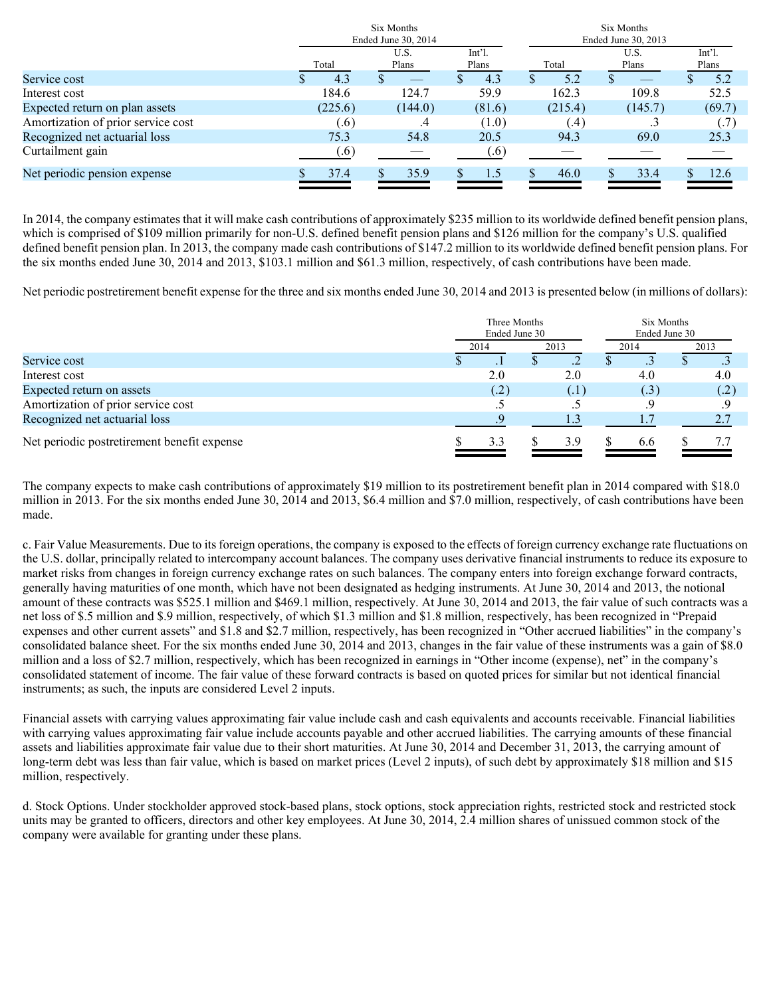|                                    |  | Six Months<br>Ended June 30, 2014 |  |         |  |           |  | Six Months<br>Ended June 30, 2013 |      |         |  |           |  |
|------------------------------------|--|-----------------------------------|--|---------|--|-----------|--|-----------------------------------|------|---------|--|-----------|--|
|                                    |  |                                   |  | U.S.    |  | $Int21$ . |  |                                   | U.S. |         |  | $Int21$ . |  |
|                                    |  | Total                             |  | Plans   |  | Plans     |  | Total                             |      | Plans   |  | Plans     |  |
| Service cost                       |  | 4.3                               |  |         |  | 4.3       |  | 5.2                               |      |         |  | 5.2       |  |
| Interest cost                      |  | 184.6                             |  | 124.7   |  | 59.9      |  | 162.3                             |      | 109.8   |  | 52.5      |  |
| Expected return on plan assets     |  | (225.6)                           |  | (144.0) |  | (81.6)    |  | (215.4)                           |      | (145.7) |  | (69.7)    |  |
| Amortization of prior service cost |  | (.6)                              |  | .4      |  | (1.0)     |  | ( .4 )                            |      |         |  | (.7)      |  |
| Recognized net actuarial loss      |  | 75.3                              |  | 54.8    |  | 20.5      |  | 94.3                              |      | 69.0    |  | 25.3      |  |
| Curtailment gain                   |  | (.6)                              |  |         |  | (.6)      |  |                                   |      |         |  |           |  |
| Net periodic pension expense       |  | 37.4                              |  | 35.9    |  | 1.5       |  | 46.0                              |      | 33.4    |  | 12.6      |  |
|                                    |  |                                   |  |         |  |           |  |                                   |      |         |  |           |  |

In 2014, the company estimates that it will make cash contributions of approximately \$235 million to its worldwide defined benefit pension plans, which is comprised of \$109 million primarily for non-U.S. defined benefit pension plans and \$126 million for the company's U.S. qualified defined benefit pension plan. In 2013, the company made cash contributions of \$147.2 million to its worldwide defined benefit pension plans. For the six months ended June 30, 2014 and 2013, \$103.1 million and \$61.3 million, respectively, of cash contributions have been made.

Net periodic postretirement benefit expense for the three and six months ended June 30, 2014 and 2013 is presented below (in millions of dollars):

|                                             | Three Months<br>Ended June 30 |      | Six Months<br>Ended June 30   |      |      |  |      |
|---------------------------------------------|-------------------------------|------|-------------------------------|------|------|--|------|
|                                             | 2014                          | 2013 |                               | 2014 |      |  | 2013 |
| Service cost                                |                               |      |                               |      |      |  | د.   |
| Interest cost                               | 2.0                           |      | 2.0                           |      | 4.0  |  | 4.0  |
| Expected return on assets                   | (.2)                          |      | $\mathbf{1} \cdot \mathbf{I}$ |      | (.3) |  | (.2) |
| Amortization of prior service cost          |                               |      |                               |      |      |  |      |
| Recognized net actuarial loss               |                               |      |                               |      |      |  | 2.7  |
| Net periodic postretirement benefit expense | 3.3                           |      | 3.9                           |      | 6.6  |  | 7.7  |

The company expects to make cash contributions of approximately \$19 million to its postretirement benefit plan in 2014 compared with \$18.0 million in 2013. For the six months ended June 30, 2014 and 2013, \$6.4 million and \$7.0 million, respectively, of cash contributions have been made.

c. Fair Value Measurements. Due to its foreign operations, the company is exposed to the effects of foreign currency exchange rate fluctuations on the U.S. dollar, principally related to intercompany account balances. The company uses derivative financial instruments to reduce its exposure to market risks from changes in foreign currency exchange rates on such balances. The company enters into foreign exchange forward contracts, generally having maturities of one month, which have not been designated as hedging instruments. At June 30, 2014 and 2013, the notional amount of these contracts was \$525.1 million and \$469.1 million, respectively. At June 30, 2014 and 2013, the fair value of such contracts was a net loss of \$.5 million and \$.9 million, respectively, of which \$1.3 million and \$1.8 million, respectively, has been recognized in "Prepaid expenses and other current assets" and \$1.8 and \$2.7 million, respectively, has been recognized in "Other accrued liabilities" in the company's consolidated balance sheet. For the six months ended June 30, 2014 and 2013, changes in the fair value of these instruments was a gain of \$8.0 million and a loss of \$2.7 million, respectively, which has been recognized in earnings in "Other income (expense), net" in the company's consolidated statement of income. The fair value of these forward contracts is based on quoted prices for similar but not identical financial instruments; as such, the inputs are considered Level 2 inputs.

Financial assets with carrying values approximating fair value include cash and cash equivalents and accounts receivable. Financial liabilities with carrying values approximating fair value include accounts payable and other accrued liabilities. The carrying amounts of these financial assets and liabilities approximate fair value due to their short maturities. At June 30, 2014 and December 31, 2013, the carrying amount of long-term debt was less than fair value, which is based on market prices (Level 2 inputs), of such debt by approximately \$18 million and \$15 million, respectively.

d. Stock Options. Under stockholder approved stock-based plans, stock options, stock appreciation rights, restricted stock and restricted stock units may be granted to officers, directors and other key employees. At June 30, 2014, 2.4 million shares of unissued common stock of the company were available for granting under these plans.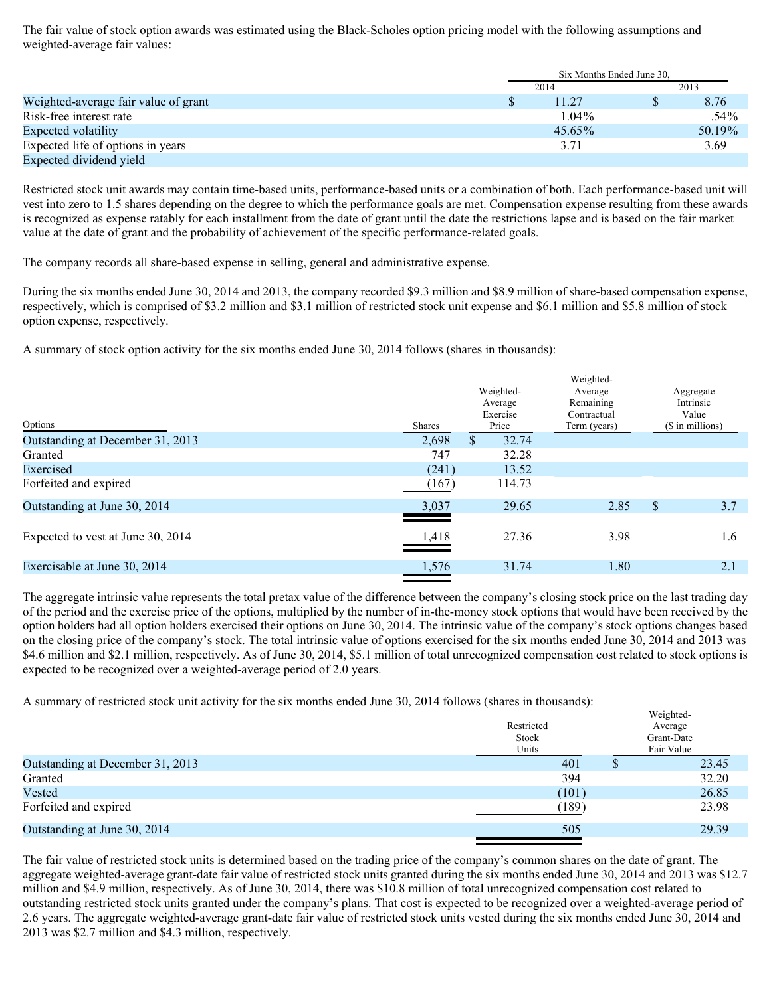The fair value of stock option awards was estimated using the Black-Scholes option pricing model with the following assumptions and weighted-average fair values:

|                                      | Six Months Ended June 30, |         |  |  |
|--------------------------------------|---------------------------|---------|--|--|
|                                      | 2014                      | 2013    |  |  |
| Weighted-average fair value of grant | 11.27                     | 8.76    |  |  |
| Risk-free interest rate              | $1.04\%$                  | $.54\%$ |  |  |
| <b>Expected volatility</b>           | $45.65\%$                 | 50.19%  |  |  |
| Expected life of options in years    | 3.71                      | 3.69    |  |  |
| Expected dividend yield              |                           |         |  |  |

Restricted stock unit awards may contain time-based units, performance-based units or a combination of both. Each performance-based unit will vest into zero to 1.5 shares depending on the degree to which the performance goals are met. Compensation expense resulting from these awards is recognized as expense ratably for each installment from the date of grant until the date the restrictions lapse and is based on the fair market value at the date of grant and the probability of achievement of the specific performance-related goals.

The company records all share-based expense in selling, general and administrative expense.

During the six months ended June 30, 2014 and 2013, the company recorded \$9.3 million and \$8.9 million of share-based compensation expense, respectively, which is comprised of \$3.2 million and \$3.1 million of restricted stock unit expense and \$6.1 million and \$5.8 million of stock option expense, respectively.

A summary of stock option activity for the six months ended June 30, 2014 follows (shares in thousands):

| Options                           | <b>Shares</b> | Weighted-<br>Average<br>Exercise<br>Price | Weighted-<br>Average<br>Remaining<br>Contractual<br>Term (years) |               | Aggregate<br>Intrinsic<br>Value<br>(\$ in millions) |
|-----------------------------------|---------------|-------------------------------------------|------------------------------------------------------------------|---------------|-----------------------------------------------------|
| Outstanding at December 31, 2013  | 2,698         | 32.74<br><sup>S</sup>                     |                                                                  |               |                                                     |
| Granted                           | 747           | 32.28                                     |                                                                  |               |                                                     |
| Exercised                         | (241)         | 13.52                                     |                                                                  |               |                                                     |
| Forfeited and expired             | (167)         | 114.73                                    |                                                                  |               |                                                     |
| Outstanding at June 30, 2014      | 3,037         | 29.65                                     | 2.85                                                             | <sup>\$</sup> | 3.7                                                 |
| Expected to vest at June 30, 2014 | 1,418         | 27.36                                     | 3.98                                                             |               | 1.6                                                 |
| Exercisable at June 30, 2014      | 1,576         | 31.74                                     | 1.80                                                             |               | 2.1                                                 |
|                                   |               |                                           |                                                                  |               |                                                     |

The aggregate intrinsic value represents the total pretax value of the difference between the company's closing stock price on the last trading day of the period and the exercise price of the options, multiplied by the number of in-the-money stock options that would have been received by the option holders had all option holders exercised their options on June 30, 2014. The intrinsic value of the company's stock options changes based on the closing price of the company's stock. The total intrinsic value of options exercised for the six months ended June 30, 2014 and 2013 was \$4.6 million and \$2.1 million, respectively. As of June 30, 2014, \$5.1 million of total unrecognized compensation cost related to stock options is expected to be recognized over a weighted-average period of 2.0 years.

Weighted-

A summary of restricted stock unit activity for the six months ended June 30, 2014 follows (shares in thousands):

|                                  | Restricted<br>Stock<br>Units | weighted-<br>Average<br>Grant-Date<br>Fair Value |
|----------------------------------|------------------------------|--------------------------------------------------|
| Outstanding at December 31, 2013 | 401                          | 23.45                                            |
| Granted                          | 394                          | 32.20                                            |
| Vested                           | (101)                        | 26.85                                            |
| Forfeited and expired            | (189)                        | 23.98                                            |
| Outstanding at June 30, 2014     | 505                          | 29.39                                            |

The fair value of restricted stock units is determined based on the trading price of the company's common shares on the date of grant. The aggregate weighted-average grant-date fair value of restricted stock units granted during the six months ended June 30, 2014 and 2013 was \$12.7 million and \$4.9 million, respectively. As of June 30, 2014, there was \$10.8 million of total unrecognized compensation cost related to outstanding restricted stock units granted under the company's plans. That cost is expected to be recognized over a weighted-average period of 2.6 years. The aggregate weighted-average grant-date fair value of restricted stock units vested during the six months ended June 30, 2014 and 2013 was \$2.7 million and \$4.3 million, respectively.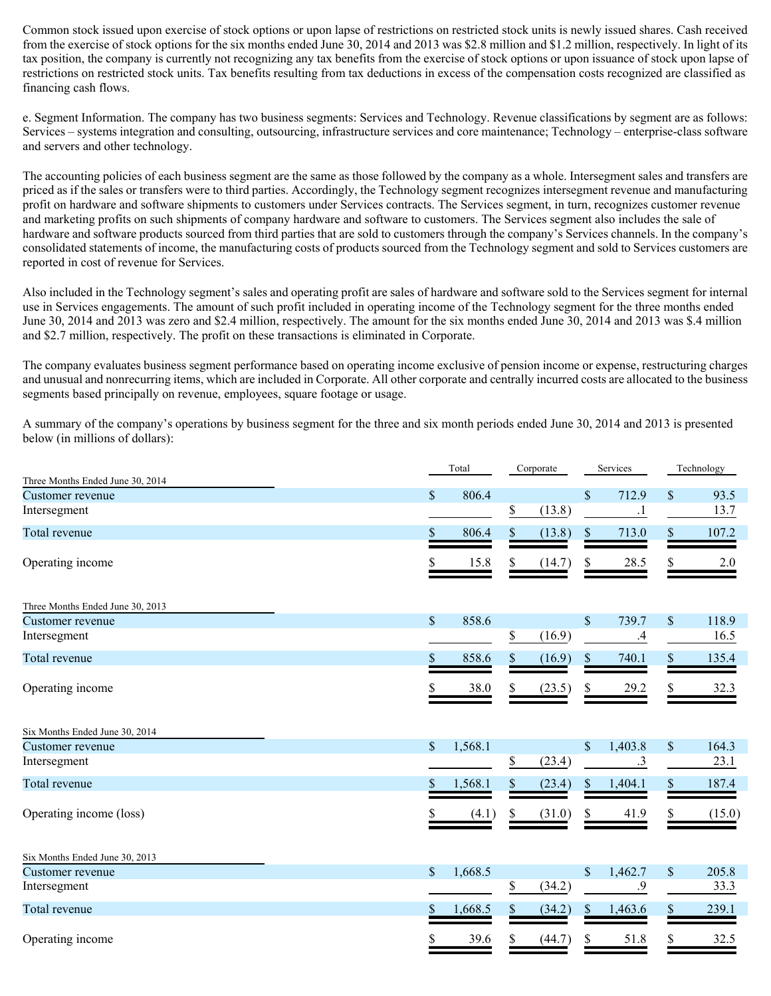Common stock issued upon exercise of stock options or upon lapse of restrictions on restricted stock units is newly issued shares. Cash received from the exercise of stock options for the six months ended June 30, 2014 and 2013 was \$2.8 million and \$1.2 million, respectively. In light of its tax position, the company is currently not recognizing any tax benefits from the exercise of stock options or upon issuance of stock upon lapse of restrictions on restricted stock units. Tax benefits resulting from tax deductions in excess of the compensation costs recognized are classified as financing cash flows.

e. Segment Information. The company has two business segments: Services and Technology. Revenue classifications by segment are as follows: Services – systems integration and consulting, outsourcing, infrastructure services and core maintenance; Technology – enterprise-class software and servers and other technology.

The accounting policies of each business segment are the same as those followed by the company as a whole. Intersegment sales and transfers are priced as if the sales or transfers were to third parties. Accordingly, the Technology segment recognizes intersegment revenue and manufacturing profit on hardware and software shipments to customers under Services contracts. The Services segment, in turn, recognizes customer revenue and marketing profits on such shipments of company hardware and software to customers. The Services segment also includes the sale of hardware and software products sourced from third parties that are sold to customers through the company's Services channels. In the company's consolidated statements of income, the manufacturing costs of products sourced from the Technology segment and sold to Services customers are reported in cost of revenue for Services.

Also included in the Technology segment's sales and operating profit are sales of hardware and software sold to the Services segment for internal use in Services engagements. The amount of such profit included in operating income of the Technology segment for the three months ended June 30, 2014 and 2013 was zero and \$2.4 million, respectively. The amount for the six months ended June 30, 2014 and 2013 was \$.4 million and \$2.7 million, respectively. The profit on these transactions is eliminated in Corporate.

The company evaluates business segment performance based on operating income exclusive of pension income or expense, restructuring charges and unusual and nonrecurring items, which are included in Corporate. All other corporate and centrally incurred costs are allocated to the business segments based principally on revenue, employees, square footage or usage.

A summary of the company's operations by business segment for the three and six month periods ended June 30, 2014 and 2013 is presented below (in millions of dollars):

| Three Months Ended June 30, 2014 | Total         |         |    | Corporate |    | Services      | Technology  |        |
|----------------------------------|---------------|---------|----|-----------|----|---------------|-------------|--------|
| Customer revenue                 | \$            | 806.4   |    |           | \$ | 712.9         | \$          | 93.5   |
| Intersegment                     |               |         | \$ | (13.8)    |    | $\cdot$ 1     |             | 13.7   |
| Total revenue                    | S             | 806.4   | \$ | (13.8)    | \$ | 713.0         | \$          | 107.2  |
| Operating income                 | \$            | 15.8    | \$ | (14.7)    | \$ | 28.5          |             | 2.0    |
| Three Months Ended June 30, 2013 |               |         |    |           |    |               |             |        |
| Customer revenue                 | $\mathsf{\$}$ | 858.6   |    |           | \$ | 739.7         | \$          | 118.9  |
| Intersegment                     |               |         | \$ | (16.9)    |    | $\mathcal{A}$ |             | 16.5   |
| Total revenue                    | \$            | 858.6   | \$ | (16.9)    | \$ | 740.1         | \$          | 135.4  |
| Operating income                 |               | 38.0    | S  | (23.5)    | S  | 29.2          |             | 32.3   |
| Six Months Ended June 30, 2014   |               |         |    |           |    |               |             |        |
| Customer revenue                 | $\mathbb{S}$  | 1,568.1 |    |           | \$ | 1,403.8       | $\$$        | 164.3  |
| Intersegment                     |               |         | \$ | (23.4)    |    | .3            |             | 23.1   |
| Total revenue                    |               | 1,568.1 | \$ | (23.4)    | S  | 1,404.1       | \$          | 187.4  |
| Operating income (loss)          |               | (4.1)   | \$ | (31.0)    | S  | 41.9          | \$          | (15.0) |
| Six Months Ended June 30, 2013   |               |         |    |           |    |               |             |        |
| Customer revenue                 | \$            | 1,668.5 |    |           | \$ | 1,462.7       | $\mathbb S$ | 205.8  |
| Intersegment                     |               |         | \$ | (34.2)    |    | $\frac{9}{2}$ |             | 33.3   |
| Total revenue                    | \$            | 1,668.5 | \$ | (34.2)    | \$ | 1,463.6       | \$          | 239.1  |
| Operating income                 | S             | 39.6    |    | (44.7)    |    | 51.8          | S           | 32.5   |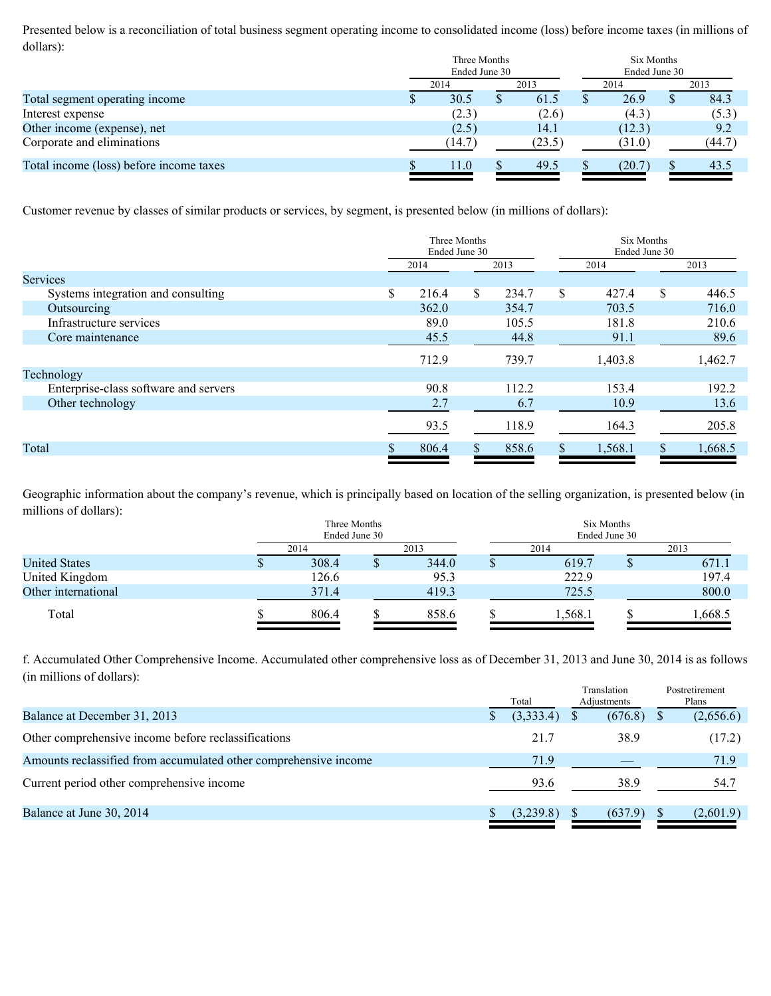Presented below is a reconciliation of total business segment operating income to consolidated income (loss) before income taxes (in millions of dollars):

|                                         | Three Months<br>Ended June 30 |        |      |        |      | Six Months<br>Ended June 30 |      |        |  |
|-----------------------------------------|-------------------------------|--------|------|--------|------|-----------------------------|------|--------|--|
|                                         | 2014                          |        | 2013 |        | 2014 |                             | 2013 |        |  |
| Total segment operating income          |                               | 30.5   |      | 61.5   |      | 26.9                        |      | 84.3   |  |
| Interest expense                        |                               | (2.3)  |      | (2.6)  |      | (4.3)                       |      | (5.3)  |  |
| Other income (expense), net             |                               | (2.5)  |      | 14.1   |      | (12.3)                      |      | 9.2    |  |
| Corporate and eliminations              |                               | (14.7) |      | (23.5) |      | (31.0)                      |      | (44.7) |  |
| Total income (loss) before income taxes |                               | 11.0   |      | 49.5   |      | (20.7                       |      | 43.5   |  |

Customer revenue by classes of similar products or services, by segment, is presented below (in millions of dollars):

|                                       | Three Months<br>Ended June 30 |             |       |    | Six Months<br>Ended June 30 |    |         |  |
|---------------------------------------|-------------------------------|-------------|-------|----|-----------------------------|----|---------|--|
|                                       | 2014                          |             | 2013  |    | 2014                        |    | 2013    |  |
| <b>Services</b>                       |                               |             |       |    |                             |    |         |  |
| Systems integration and consulting    | \$<br>216.4                   | $\mathbf S$ | 234.7 | \$ | 427.4                       | \$ | 446.5   |  |
| Outsourcing                           | 362.0                         |             | 354.7 |    | 703.5                       |    | 716.0   |  |
| Infrastructure services               | 89.0                          |             | 105.5 |    | 181.8                       |    | 210.6   |  |
| Core maintenance                      | 45.5                          |             | 44.8  |    | 91.1                        |    | 89.6    |  |
|                                       | 712.9                         |             | 739.7 |    | 1,403.8                     |    | 1,462.7 |  |
| Technology                            |                               |             |       |    |                             |    |         |  |
| Enterprise-class software and servers | 90.8                          |             | 112.2 |    | 153.4                       |    | 192.2   |  |
| Other technology                      | 2.7                           |             | 6.7   |    | 10.9                        |    | 13.6    |  |
|                                       | 93.5                          |             | 118.9 |    | 164.3                       |    | 205.8   |  |
| Total                                 | 806.4                         | \$          | 858.6 |    | 1,568.1                     |    | 1,668.5 |  |

Geographic information about the company's revenue, which is principally based on location of the selling organization, is presented below (in millions of dollars):

|                      | Three Months<br>Ended June 30 |       |     | Six Months<br>Ended June 30 |  |         |  |  |  |  |
|----------------------|-------------------------------|-------|-----|-----------------------------|--|---------|--|--|--|--|
|                      | 2014                          | 2013  |     | 2014                        |  | 2013    |  |  |  |  |
| <b>United States</b> | 308.4                         | 344.0 | ۰IJ | 619.7                       |  | 671.1   |  |  |  |  |
| United Kingdom       | 126.6                         | 95.3  |     | 222.9                       |  | 197.4   |  |  |  |  |
| Other international  | 371.4                         | 419.3 |     | 725.5                       |  | 800.0   |  |  |  |  |
| Total                | 806.4                         | 858.6 |     | 1,568.1                     |  | 1,668.5 |  |  |  |  |

f. Accumulated Other Comprehensive Income. Accumulated other comprehensive loss as of December 31, 2013 and June 30, 2014 is as follows (in millions of dollars):

|                                                                  |           |             | Translation |  | Postretirement |
|------------------------------------------------------------------|-----------|-------------|-------------|--|----------------|
|                                                                  | Total     | Adjustments |             |  | Plans          |
| Balance at December 31, 2013                                     | (3,333.4) |             | (676.8)     |  | (2,656.6)      |
| Other comprehensive income before reclassifications              | 21.7      |             | 38.9        |  | (17.2)         |
| Amounts reclassified from accumulated other comprehensive income | 71.9      |             |             |  | 71.9           |
| Current period other comprehensive income                        | 93.6      |             | 38.9        |  | 54.7           |
| Balance at June 30, 2014                                         | (3,239.8) |             | (637.9)     |  | (2,601.9)      |
|                                                                  |           |             |             |  |                |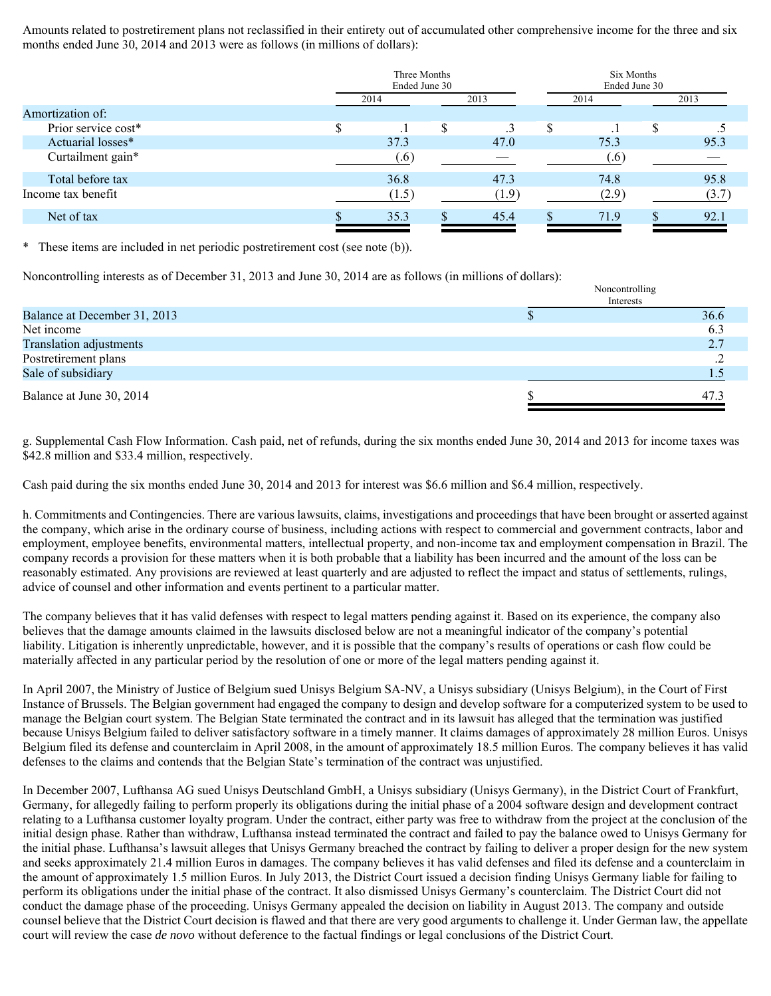Amounts related to postretirement plans not reclassified in their entirety out of accumulated other comprehensive income for the three and six months ended June 30, 2014 and 2013 were as follows (in millions of dollars):

|                     | Three Months<br>Ended June 30 |       |          | Six Months<br>Ended June 30 |  |       |  |  |
|---------------------|-------------------------------|-------|----------|-----------------------------|--|-------|--|--|
|                     | 2014                          | 2013  |          | 2014                        |  | 2013  |  |  |
| Amortization of:    |                               |       |          |                             |  |       |  |  |
| Prior service cost* |                               | \$    | S.       |                             |  |       |  |  |
| Actuarial losses*   | 37.3                          | 47.0  |          | 75.3                        |  | 95.3  |  |  |
| Curtailment gain*   | (.6)                          |       |          | .6)                         |  |       |  |  |
| Total before tax    | 36.8                          | 47.3  |          | 74.8                        |  | 95.8  |  |  |
| Income tax benefit  | (1.5)                         | (1.9) |          | (2.9)                       |  | (3.7) |  |  |
| Net of tax          | 35.3                          | 45.4  | $\sigma$ | 71.9                        |  | 92.1  |  |  |

\* These items are included in net periodic postretirement cost (see note (b)).

Noncontrolling interests as of December 31, 2013 and June 30, 2014 are as follows (in millions of dollars):

|                              | Noncontrolling<br>Interests |      |  |  |  |  |
|------------------------------|-----------------------------|------|--|--|--|--|
| Balance at December 31, 2013 |                             | 36.6 |  |  |  |  |
| Net income                   |                             | 6.3  |  |  |  |  |
| Translation adjustments      |                             | 2.7  |  |  |  |  |
| Postretirement plans         |                             |      |  |  |  |  |
| Sale of subsidiary           |                             |      |  |  |  |  |
| Balance at June 30, 2014     |                             | 47.3 |  |  |  |  |

g. Supplemental Cash Flow Information. Cash paid, net of refunds, during the six months ended June 30, 2014 and 2013 for income taxes was \$42.8 million and \$33.4 million, respectively.

Cash paid during the six months ended June 30, 2014 and 2013 for interest was \$6.6 million and \$6.4 million, respectively.

h. Commitments and Contingencies. There are various lawsuits, claims, investigations and proceedings that have been brought or asserted against the company, which arise in the ordinary course of business, including actions with respect to commercial and government contracts, labor and employment, employee benefits, environmental matters, intellectual property, and non-income tax and employment compensation in Brazil. The company records a provision for these matters when it is both probable that a liability has been incurred and the amount of the loss can be reasonably estimated. Any provisions are reviewed at least quarterly and are adjusted to reflect the impact and status of settlements, rulings, advice of counsel and other information and events pertinent to a particular matter.

The company believes that it has valid defenses with respect to legal matters pending against it. Based on its experience, the company also believes that the damage amounts claimed in the lawsuits disclosed below are not a meaningful indicator of the company's potential liability. Litigation is inherently unpredictable, however, and it is possible that the company's results of operations or cash flow could be materially affected in any particular period by the resolution of one or more of the legal matters pending against it.

In April 2007, the Ministry of Justice of Belgium sued Unisys Belgium SA-NV, a Unisys subsidiary (Unisys Belgium), in the Court of First Instance of Brussels. The Belgian government had engaged the company to design and develop software for a computerized system to be used to manage the Belgian court system. The Belgian State terminated the contract and in its lawsuit has alleged that the termination was justified because Unisys Belgium failed to deliver satisfactory software in a timely manner. It claims damages of approximately 28 million Euros. Unisys Belgium filed its defense and counterclaim in April 2008, in the amount of approximately 18.5 million Euros. The company believes it has valid defenses to the claims and contends that the Belgian State's termination of the contract was unjustified.

In December 2007, Lufthansa AG sued Unisys Deutschland GmbH, a Unisys subsidiary (Unisys Germany), in the District Court of Frankfurt, Germany, for allegedly failing to perform properly its obligations during the initial phase of a 2004 software design and development contract relating to a Lufthansa customer loyalty program. Under the contract, either party was free to withdraw from the project at the conclusion of the initial design phase. Rather than withdraw, Lufthansa instead terminated the contract and failed to pay the balance owed to Unisys Germany for the initial phase. Lufthansa's lawsuit alleges that Unisys Germany breached the contract by failing to deliver a proper design for the new system and seeks approximately 21.4 million Euros in damages. The company believes it has valid defenses and filed its defense and a counterclaim in the amount of approximately 1.5 million Euros. In July 2013, the District Court issued a decision finding Unisys Germany liable for failing to perform its obligations under the initial phase of the contract. It also dismissed Unisys Germany's counterclaim. The District Court did not conduct the damage phase of the proceeding. Unisys Germany appealed the decision on liability in August 2013. The company and outside counsel believe that the District Court decision is flawed and that there are very good arguments to challenge it. Under German law, the appellate court will review the case *de novo* without deference to the factual findings or legal conclusions of the District Court.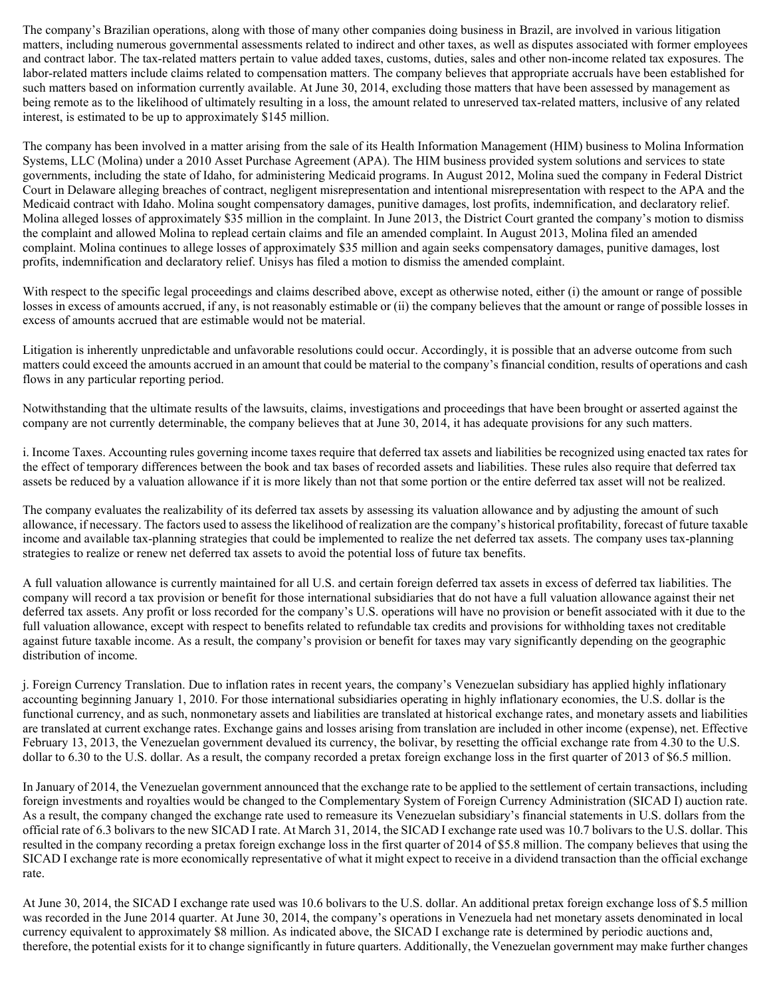The company's Brazilian operations, along with those of many other companies doing business in Brazil, are involved in various litigation matters, including numerous governmental assessments related to indirect and other taxes, as well as disputes associated with former employees and contract labor. The tax-related matters pertain to value added taxes, customs, duties, sales and other non-income related tax exposures. The labor-related matters include claims related to compensation matters. The company believes that appropriate accruals have been established for such matters based on information currently available. At June 30, 2014, excluding those matters that have been assessed by management as being remote as to the likelihood of ultimately resulting in a loss, the amount related to unreserved tax-related matters, inclusive of any related interest, is estimated to be up to approximately \$145 million.

The company has been involved in a matter arising from the sale of its Health Information Management (HIM) business to Molina Information Systems, LLC (Molina) under a 2010 Asset Purchase Agreement (APA). The HIM business provided system solutions and services to state governments, including the state of Idaho, for administering Medicaid programs. In August 2012, Molina sued the company in Federal District Court in Delaware alleging breaches of contract, negligent misrepresentation and intentional misrepresentation with respect to the APA and the Medicaid contract with Idaho. Molina sought compensatory damages, punitive damages, lost profits, indemnification, and declaratory relief. Molina alleged losses of approximately \$35 million in the complaint. In June 2013, the District Court granted the company's motion to dismiss the complaint and allowed Molina to replead certain claims and file an amended complaint. In August 2013, Molina filed an amended complaint. Molina continues to allege losses of approximately \$35 million and again seeks compensatory damages, punitive damages, lost profits, indemnification and declaratory relief. Unisys has filed a motion to dismiss the amended complaint.

With respect to the specific legal proceedings and claims described above, except as otherwise noted, either (i) the amount or range of possible losses in excess of amounts accrued, if any, is not reasonably estimable or (ii) the company believes that the amount or range of possible losses in excess of amounts accrued that are estimable would not be material.

Litigation is inherently unpredictable and unfavorable resolutions could occur. Accordingly, it is possible that an adverse outcome from such matters could exceed the amounts accrued in an amount that could be material to the company's financial condition, results of operations and cash flows in any particular reporting period.

Notwithstanding that the ultimate results of the lawsuits, claims, investigations and proceedings that have been brought or asserted against the company are not currently determinable, the company believes that at June 30, 2014, it has adequate provisions for any such matters.

i. Income Taxes. Accounting rules governing income taxes require that deferred tax assets and liabilities be recognized using enacted tax rates for the effect of temporary differences between the book and tax bases of recorded assets and liabilities. These rules also require that deferred tax assets be reduced by a valuation allowance if it is more likely than not that some portion or the entire deferred tax asset will not be realized.

The company evaluates the realizability of its deferred tax assets by assessing its valuation allowance and by adjusting the amount of such allowance, if necessary. The factors used to assess the likelihood of realization are the company's historical profitability, forecast of future taxable income and available tax-planning strategies that could be implemented to realize the net deferred tax assets. The company uses tax-planning strategies to realize or renew net deferred tax assets to avoid the potential loss of future tax benefits.

A full valuation allowance is currently maintained for all U.S. and certain foreign deferred tax assets in excess of deferred tax liabilities. The company will record a tax provision or benefit for those international subsidiaries that do not have a full valuation allowance against their net deferred tax assets. Any profit or loss recorded for the company's U.S. operations will have no provision or benefit associated with it due to the full valuation allowance, except with respect to benefits related to refundable tax credits and provisions for withholding taxes not creditable against future taxable income. As a result, the company's provision or benefit for taxes may vary significantly depending on the geographic distribution of income.

j. Foreign Currency Translation. Due to inflation rates in recent years, the company's Venezuelan subsidiary has applied highly inflationary accounting beginning January 1, 2010. For those international subsidiaries operating in highly inflationary economies, the U.S. dollar is the functional currency, and as such, nonmonetary assets and liabilities are translated at historical exchange rates, and monetary assets and liabilities are translated at current exchange rates. Exchange gains and losses arising from translation are included in other income (expense), net. Effective February 13, 2013, the Venezuelan government devalued its currency, the bolivar, by resetting the official exchange rate from 4.30 to the U.S. dollar to 6.30 to the U.S. dollar. As a result, the company recorded a pretax foreign exchange loss in the first quarter of 2013 of \$6.5 million.

In January of 2014, the Venezuelan government announced that the exchange rate to be applied to the settlement of certain transactions, including foreign investments and royalties would be changed to the Complementary System of Foreign Currency Administration (SICAD I) auction rate. As a result, the company changed the exchange rate used to remeasure its Venezuelan subsidiary's financial statements in U.S. dollars from the official rate of 6.3 bolivars to the new SICAD I rate. At March 31, 2014, the SICAD I exchange rate used was 10.7 bolivars to the U.S. dollar. This resulted in the company recording a pretax foreign exchange loss in the first quarter of 2014 of \$5.8 million. The company believes that using the SICAD I exchange rate is more economically representative of what it might expect to receive in a dividend transaction than the official exchange rate.

At June 30, 2014, the SICAD I exchange rate used was 10.6 bolivars to the U.S. dollar. An additional pretax foreign exchange loss of \$.5 million was recorded in the June 2014 quarter. At June 30, 2014, the company's operations in Venezuela had net monetary assets denominated in local currency equivalent to approximately \$8 million. As indicated above, the SICAD I exchange rate is determined by periodic auctions and, therefore, the potential exists for it to change significantly in future quarters. Additionally, the Venezuelan government may make further changes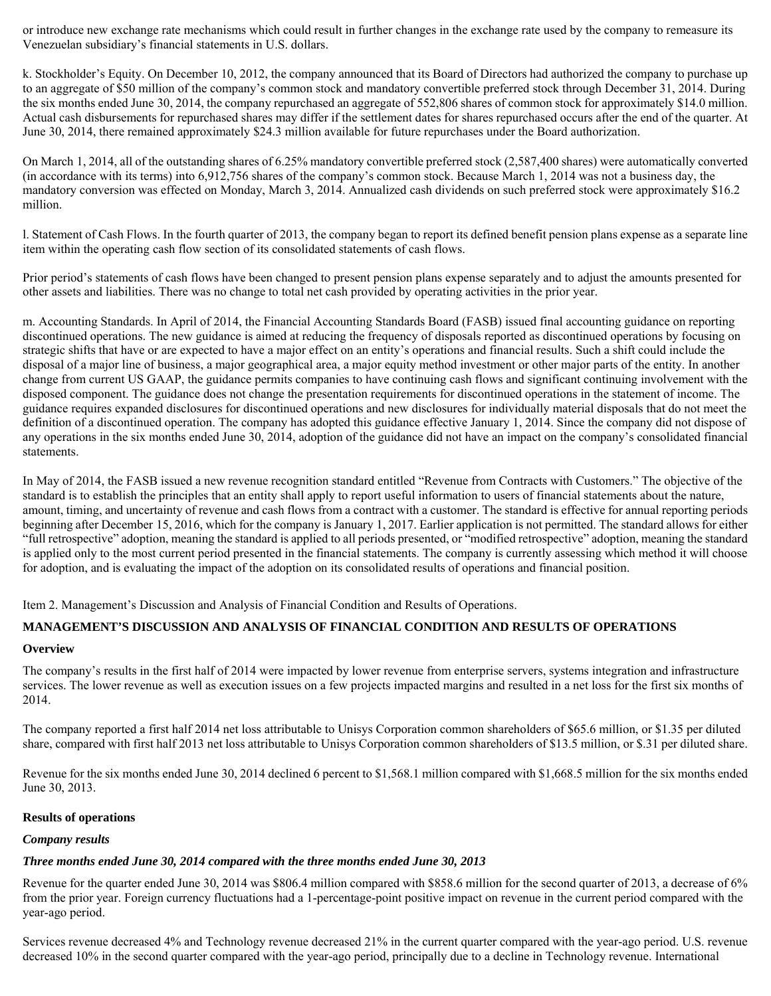or introduce new exchange rate mechanisms which could result in further changes in the exchange rate used by the company to remeasure its Venezuelan subsidiary's financial statements in U.S. dollars.

k. Stockholder's Equity. On December 10, 2012, the company announced that its Board of Directors had authorized the company to purchase up to an aggregate of \$50 million of the company's common stock and mandatory convertible preferred stock through December 31, 2014. During the six months ended June 30, 2014, the company repurchased an aggregate of 552,806 shares of common stock for approximately \$14.0 million. Actual cash disbursements for repurchased shares may differ if the settlement dates for shares repurchased occurs after the end of the quarter. At June 30, 2014, there remained approximately \$24.3 million available for future repurchases under the Board authorization.

On March 1, 2014, all of the outstanding shares of 6.25% mandatory convertible preferred stock (2,587,400 shares) were automatically converted (in accordance with its terms) into 6,912,756 shares of the company's common stock. Because March 1, 2014 was not a business day, the mandatory conversion was effected on Monday, March 3, 2014. Annualized cash dividends on such preferred stock were approximately \$16.2 million.

l. Statement of Cash Flows. In the fourth quarter of 2013, the company began to report its defined benefit pension plans expense as a separate line item within the operating cash flow section of its consolidated statements of cash flows.

Prior period's statements of cash flows have been changed to present pension plans expense separately and to adjust the amounts presented for other assets and liabilities. There was no change to total net cash provided by operating activities in the prior year.

m. Accounting Standards. In April of 2014, the Financial Accounting Standards Board (FASB) issued final accounting guidance on reporting discontinued operations. The new guidance is aimed at reducing the frequency of disposals reported as discontinued operations by focusing on strategic shifts that have or are expected to have a major effect on an entity's operations and financial results. Such a shift could include the disposal of a major line of business, a major geographical area, a major equity method investment or other major parts of the entity. In another change from current US GAAP, the guidance permits companies to have continuing cash flows and significant continuing involvement with the disposed component. The guidance does not change the presentation requirements for discontinued operations in the statement of income. The guidance requires expanded disclosures for discontinued operations and new disclosures for individually material disposals that do not meet the definition of a discontinued operation. The company has adopted this guidance effective January 1, 2014. Since the company did not dispose of any operations in the six months ended June 30, 2014, adoption of the guidance did not have an impact on the company's consolidated financial statements.

In May of 2014, the FASB issued a new revenue recognition standard entitled "Revenue from Contracts with Customers." The objective of the standard is to establish the principles that an entity shall apply to report useful information to users of financial statements about the nature, amount, timing, and uncertainty of revenue and cash flows from a contract with a customer. The standard is effective for annual reporting periods beginning after December 15, 2016, which for the company is January 1, 2017. Earlier application is not permitted. The standard allows for either "full retrospective" adoption, meaning the standard is applied to all periods presented, or "modified retrospective" adoption, meaning the standard is applied only to the most current period presented in the financial statements. The company is currently assessing which method it will choose for adoption, and is evaluating the impact of the adoption on its consolidated results of operations and financial position.

Item 2. Management's Discussion and Analysis of Financial Condition and Results of Operations.

#### **MANAGEMENT'S DISCUSSION AND ANALYSIS OF FINANCIAL CONDITION AND RESULTS OF OPERATIONS**

#### **Overview**

The company's results in the first half of 2014 were impacted by lower revenue from enterprise servers, systems integration and infrastructure services. The lower revenue as well as execution issues on a few projects impacted margins and resulted in a net loss for the first six months of 2014.

The company reported a first half 2014 net loss attributable to Unisys Corporation common shareholders of \$65.6 million, or \$1.35 per diluted share, compared with first half 2013 net loss attributable to Unisys Corporation common shareholders of \$13.5 million, or \$.31 per diluted share.

Revenue for the six months ended June 30, 2014 declined 6 percent to \$1,568.1 million compared with \$1,668.5 million for the six months ended June 30, 2013.

#### **Results of operations**

#### *Company results*

#### *Three months ended June 30, 2014 compared with the three months ended June 30, 2013*

Revenue for the quarter ended June 30, 2014 was \$806.4 million compared with \$858.6 million for the second quarter of 2013, a decrease of 6% from the prior year. Foreign currency fluctuations had a 1-percentage-point positive impact on revenue in the current period compared with the year-ago period.

Services revenue decreased 4% and Technology revenue decreased 21% in the current quarter compared with the year-ago period. U.S. revenue decreased 10% in the second quarter compared with the year-ago period, principally due to a decline in Technology revenue. International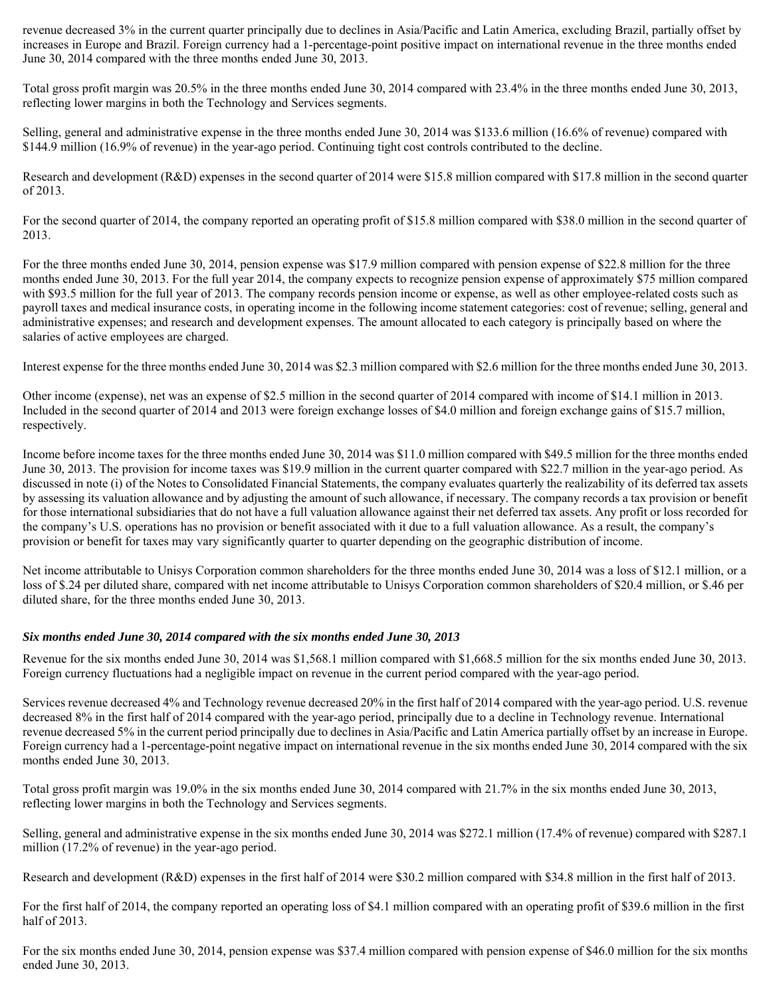revenue decreased 3% in the current quarter principally due to declines in Asia/Pacific and Latin America, excluding Brazil, partially offset by increases in Europe and Brazil. Foreign currency had a 1-percentage-point positive impact on international revenue in the three months ended June 30, 2014 compared with the three months ended June 30, 2013.

Total gross profit margin was 20.5% in the three months ended June 30, 2014 compared with 23.4% in the three months ended June 30, 2013, reflecting lower margins in both the Technology and Services segments.

Selling, general and administrative expense in the three months ended June 30, 2014 was \$133.6 million (16.6% of revenue) compared with \$144.9 million (16.9% of revenue) in the year-ago period. Continuing tight cost controls contributed to the decline.

Research and development (R&D) expenses in the second quarter of 2014 were \$15.8 million compared with \$17.8 million in the second quarter of 2013.

For the second quarter of 2014, the company reported an operating profit of \$15.8 million compared with \$38.0 million in the second quarter of 2013.

For the three months ended June 30, 2014, pension expense was \$17.9 million compared with pension expense of \$22.8 million for the three months ended June 30, 2013. For the full year 2014, the company expects to recognize pension expense of approximately \$75 million compared with \$93.5 million for the full year of 2013. The company records pension income or expense, as well as other employee-related costs such as payroll taxes and medical insurance costs, in operating income in the following income statement categories: cost of revenue; selling, general and administrative expenses; and research and development expenses. The amount allocated to each category is principally based on where the salaries of active employees are charged.

Interest expense for the three months ended June 30, 2014 was \$2.3 million compared with \$2.6 million for the three months ended June 30, 2013.

Other income (expense), net was an expense of \$2.5 million in the second quarter of 2014 compared with income of \$14.1 million in 2013. Included in the second quarter of 2014 and 2013 were foreign exchange losses of \$4.0 million and foreign exchange gains of \$15.7 million, respectively.

Income before income taxes for the three months ended June 30, 2014 was \$11.0 million compared with \$49.5 million for the three months ended June 30, 2013. The provision for income taxes was \$19.9 million in the current quarter compared with \$22.7 million in the year-ago period. As discussed in note (i) of the Notes to Consolidated Financial Statements, the company evaluates quarterly the realizability of its deferred tax assets by assessing its valuation allowance and by adjusting the amount of such allowance, if necessary. The company records a tax provision or benefit for those international subsidiaries that do not have a full valuation allowance against their net deferred tax assets. Any profit or loss recorded for the company's U.S. operations has no provision or benefit associated with it due to a full valuation allowance. As a result, the company's provision or benefit for taxes may vary significantly quarter to quarter depending on the geographic distribution of income.

Net income attributable to Unisys Corporation common shareholders for the three months ended June 30, 2014 was a loss of \$12.1 million, or a loss of \$.24 per diluted share, compared with net income attributable to Unisys Corporation common shareholders of \$20.4 million, or \$.46 per diluted share, for the three months ended June 30, 2013.

#### *Six months ended June 30, 2014 compared with the six months ended June 30, 2013*

Revenue for the six months ended June 30, 2014 was \$1,568.1 million compared with \$1,668.5 million for the six months ended June 30, 2013. Foreign currency fluctuations had a negligible impact on revenue in the current period compared with the year-ago period.

Services revenue decreased 4% and Technology revenue decreased 20% in the first half of 2014 compared with the year-ago period. U.S. revenue decreased 8% in the first half of 2014 compared with the year-ago period, principally due to a decline in Technology revenue. International revenue decreased 5% in the current period principally due to declines in Asia/Pacific and Latin America partially offset by an increase in Europe. Foreign currency had a 1-percentage-point negative impact on international revenue in the six months ended June 30, 2014 compared with the six months ended June 30, 2013.

Total gross profit margin was 19.0% in the six months ended June 30, 2014 compared with 21.7% in the six months ended June 30, 2013, reflecting lower margins in both the Technology and Services segments.

Selling, general and administrative expense in the six months ended June 30, 2014 was \$272.1 million (17.4% of revenue) compared with \$287.1 million (17.2% of revenue) in the year-ago period.

Research and development (R&D) expenses in the first half of 2014 were \$30.2 million compared with \$34.8 million in the first half of 2013.

For the first half of 2014, the company reported an operating loss of \$4.1 million compared with an operating profit of \$39.6 million in the first half of 2013.

For the six months ended June 30, 2014, pension expense was \$37.4 million compared with pension expense of \$46.0 million for the six months ended June 30, 2013.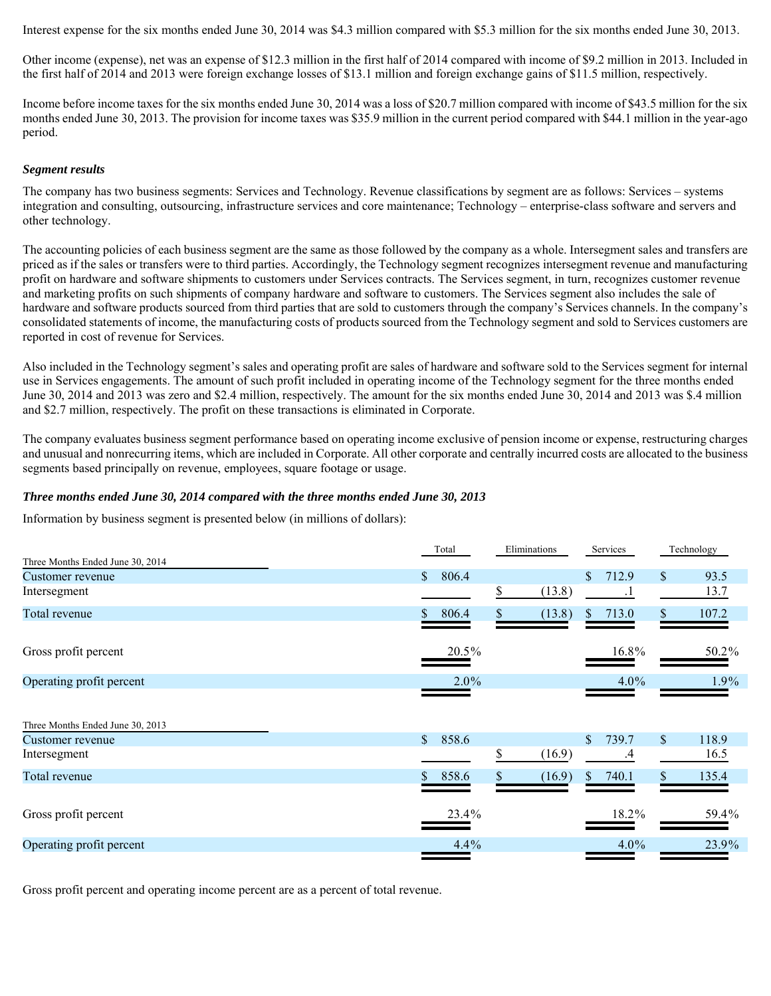Interest expense for the six months ended June 30, 2014 was \$4.3 million compared with \$5.3 million for the six months ended June 30, 2013.

Other income (expense), net was an expense of \$12.3 million in the first half of 2014 compared with income of \$9.2 million in 2013. Included in the first half of 2014 and 2013 were foreign exchange losses of \$13.1 million and foreign exchange gains of \$11.5 million, respectively.

Income before income taxes for the six months ended June 30, 2014 was a loss of \$20.7 million compared with income of \$43.5 million for the six months ended June 30, 2013. The provision for income taxes was \$35.9 million in the current period compared with \$44.1 million in the year-ago period.

#### *Segment results*

The company has two business segments: Services and Technology. Revenue classifications by segment are as follows: Services – systems integration and consulting, outsourcing, infrastructure services and core maintenance; Technology – enterprise-class software and servers and other technology.

The accounting policies of each business segment are the same as those followed by the company as a whole. Intersegment sales and transfers are priced as if the sales or transfers were to third parties. Accordingly, the Technology segment recognizes intersegment revenue and manufacturing profit on hardware and software shipments to customers under Services contracts. The Services segment, in turn, recognizes customer revenue and marketing profits on such shipments of company hardware and software to customers. The Services segment also includes the sale of hardware and software products sourced from third parties that are sold to customers through the company's Services channels. In the company's consolidated statements of income, the manufacturing costs of products sourced from the Technology segment and sold to Services customers are reported in cost of revenue for Services.

Also included in the Technology segment's sales and operating profit are sales of hardware and software sold to the Services segment for internal use in Services engagements. The amount of such profit included in operating income of the Technology segment for the three months ended June 30, 2014 and 2013 was zero and \$2.4 million, respectively. The amount for the six months ended June 30, 2014 and 2013 was \$.4 million and \$2.7 million, respectively. The profit on these transactions is eliminated in Corporate.

The company evaluates business segment performance based on operating income exclusive of pension income or expense, restructuring charges and unusual and nonrecurring items, which are included in Corporate. All other corporate and centrally incurred costs are allocated to the business segments based principally on revenue, employees, square footage or usage.

#### *Three months ended June 30, 2014 compared with the three months ended June 30, 2013*

Information by business segment is presented below (in millions of dollars):

|                                  | Total         |         | Eliminations |        | Services      |         | Technology |       |
|----------------------------------|---------------|---------|--------------|--------|---------------|---------|------------|-------|
| Three Months Ended June 30, 2014 |               |         |              |        |               |         |            |       |
| Customer revenue                 | $\mathbb{S}$  | 806.4   |              |        | $\mathbb{S}$  | 712.9   | \$         | 93.5  |
| Intersegment                     |               |         | \$           | (13.8) |               | $\cdot$ |            | 13.7  |
| Total revenue                    |               | 806.4   | S            | (13.8) | <sup>S</sup>  | 713.0   | \$.        | 107.2 |
|                                  |               |         |              |        |               |         |            |       |
| Gross profit percent             |               | 20.5%   |              |        |               | 16.8%   |            | 50.2% |
|                                  |               |         |              |        |               |         |            |       |
| Operating profit percent         |               | $2.0\%$ |              |        |               | $4.0\%$ |            | 1.9%  |
|                                  |               |         |              |        |               |         |            |       |
| Three Months Ended June 30, 2013 |               |         |              |        |               |         |            |       |
| Customer revenue                 | $\mathbb{S}$  | 858.6   |              |        | $\mathcal{S}$ | 739.7   | \$         | 118.9 |
| Intersegment                     |               |         | \$           | (16.9) |               | .4      |            | 16.5  |
| Total revenue                    | $\mathcal{S}$ | 858.6   | S            | (16.9) | \$            | 740.1   | \$         | 135.4 |
|                                  |               |         |              |        |               |         |            |       |
| Gross profit percent             |               | 23.4%   |              |        |               | 18.2%   |            | 59.4% |
|                                  |               |         |              |        |               |         |            |       |
| Operating profit percent         |               | $4.4\%$ |              |        |               | $4.0\%$ |            | 23.9% |
|                                  |               |         |              |        |               |         |            |       |

Gross profit percent and operating income percent are as a percent of total revenue.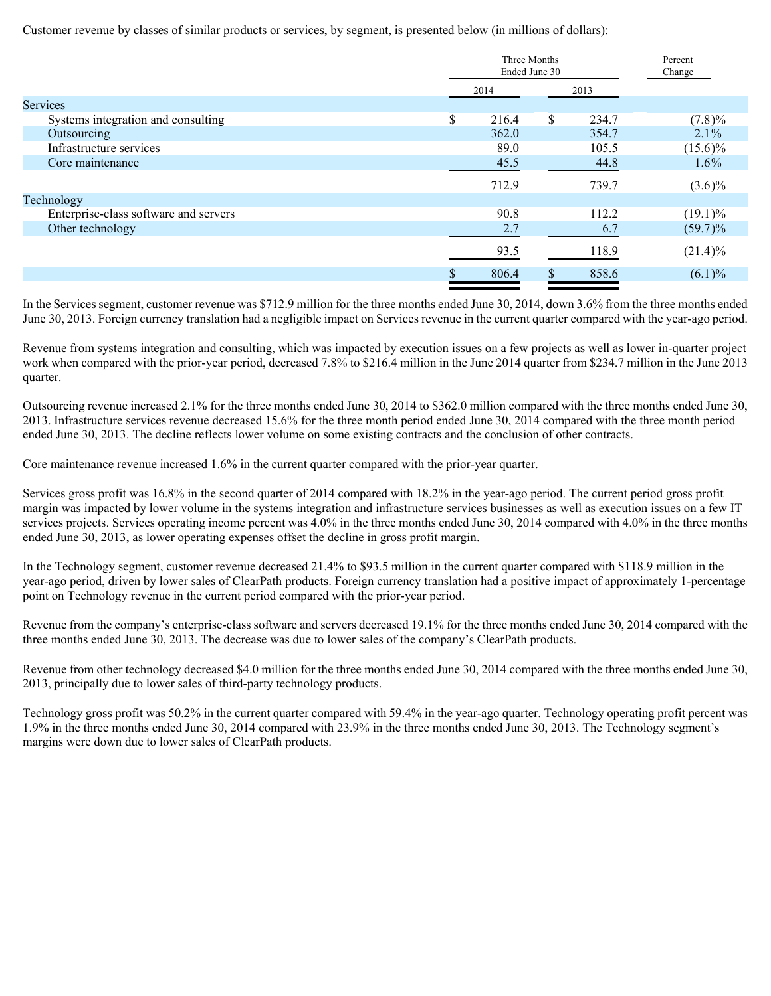Customer revenue by classes of similar products or services, by segment, is presented below (in millions of dollars):

|                                       | Three Months<br>Ended June 30 |    | Percent<br>Change |            |
|---------------------------------------|-------------------------------|----|-------------------|------------|
|                                       | 2014                          |    | 2013              |            |
| <b>Services</b>                       |                               |    |                   |            |
| Systems integration and consulting    | \$<br>216.4                   | \$ | 234.7             | (7.8)%     |
| Outsourcing                           | 362.0                         |    | 354.7             | $2.1\%$    |
| Infrastructure services               | 89.0                          |    | 105.5             | $(15.6)\%$ |
| Core maintenance                      | 45.5                          |    | 44.8              | 1.6%       |
|                                       | 712.9                         |    | 739.7             | $(3.6)\%$  |
| Technology                            |                               |    |                   |            |
| Enterprise-class software and servers | 90.8                          |    | 112.2             | $(19.1)\%$ |
| Other technology                      | 2.7                           |    | 6.7               | $(59.7)\%$ |
|                                       | 93.5                          |    | 118.9             | $(21.4)\%$ |
|                                       | 806.4                         | \$ | 858.6             | $(6.1)\%$  |

In the Services segment, customer revenue was \$712.9 million for the three months ended June 30, 2014, down 3.6% from the three months ended June 30, 2013. Foreign currency translation had a negligible impact on Services revenue in the current quarter compared with the year-ago period.

Revenue from systems integration and consulting, which was impacted by execution issues on a few projects as well as lower in-quarter project work when compared with the prior-year period, decreased 7.8% to \$216.4 million in the June 2014 quarter from \$234.7 million in the June 2013 quarter.

Outsourcing revenue increased 2.1% for the three months ended June 30, 2014 to \$362.0 million compared with the three months ended June 30, 2013. Infrastructure services revenue decreased 15.6% for the three month period ended June 30, 2014 compared with the three month period ended June 30, 2013. The decline reflects lower volume on some existing contracts and the conclusion of other contracts.

Core maintenance revenue increased 1.6% in the current quarter compared with the prior-year quarter.

Services gross profit was 16.8% in the second quarter of 2014 compared with 18.2% in the year-ago period. The current period gross profit margin was impacted by lower volume in the systems integration and infrastructure services businesses as well as execution issues on a few IT services projects. Services operating income percent was 4.0% in the three months ended June 30, 2014 compared with 4.0% in the three months ended June 30, 2013, as lower operating expenses offset the decline in gross profit margin.

In the Technology segment, customer revenue decreased 21.4% to \$93.5 million in the current quarter compared with \$118.9 million in the year-ago period, driven by lower sales of ClearPath products. Foreign currency translation had a positive impact of approximately 1-percentage point on Technology revenue in the current period compared with the prior-year period.

Revenue from the company's enterprise-class software and servers decreased 19.1% for the three months ended June 30, 2014 compared with the three months ended June 30, 2013. The decrease was due to lower sales of the company's ClearPath products.

Revenue from other technology decreased \$4.0 million for the three months ended June 30, 2014 compared with the three months ended June 30, 2013, principally due to lower sales of third-party technology products.

Technology gross profit was 50.2% in the current quarter compared with 59.4% in the year-ago quarter. Technology operating profit percent was 1.9% in the three months ended June 30, 2014 compared with 23.9% in the three months ended June 30, 2013. The Technology segment's margins were down due to lower sales of ClearPath products.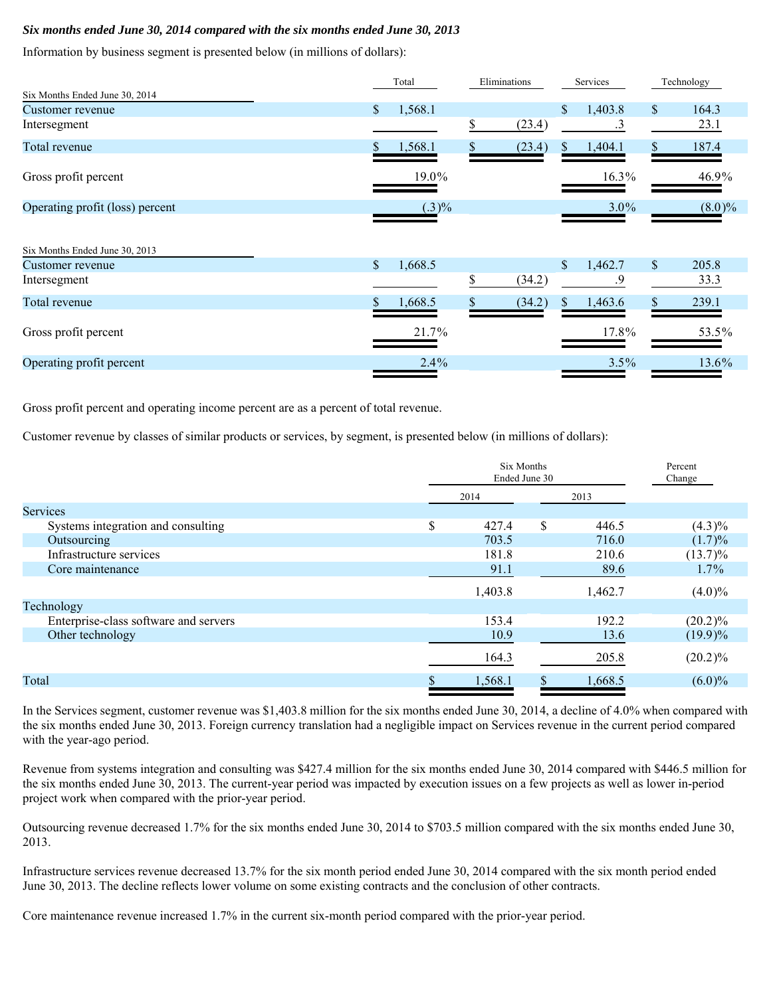#### *Six months ended June 30, 2014 compared with the six months ended June 30, 2013*

Information by business segment is presented below (in millions of dollars):

| Six Months Ended June 30, 2014  |                           | Total   | Eliminations |        | Services |            | Technology   |           |
|---------------------------------|---------------------------|---------|--------------|--------|----------|------------|--------------|-----------|
| Customer revenue                | $\boldsymbol{\mathsf{S}}$ | 1,568.1 |              |        | \$       | 1,403.8    | $\mathbb{S}$ | 164.3     |
| Intersegment                    |                           |         | \$           | (23.4) |          | $\cdot$ 3  |              | 23.1      |
| Total revenue                   | S                         | 1,568.1 | S            | (23.4) | S.       | 1,404.1    | S.           | 187.4     |
| Gross profit percent            |                           | 19.0%   |              |        |          | 16.3%      |              | 46.9%     |
| Operating profit (loss) percent |                           | (.3)%   |              |        |          | $3.0\%$    |              | $(8.0)\%$ |
| Six Months Ended June 30, 2013  |                           |         |              |        |          |            |              |           |
| Customer revenue                | $\mathsf{\$}$             | 1,668.5 |              |        | \$       | 1,462.7    | $\mathbb{S}$ | 205.8     |
| Intersegment                    |                           |         | \$           | (34.2) |          | $\cdot$ .9 |              | 33.3      |
| Total revenue                   |                           | 1,668.5 |              | (34.2) |          | 1,463.6    |              | 239.1     |
| Gross profit percent            |                           | 21.7%   |              |        |          | 17.8%      |              | 53.5%     |
| Operating profit percent        |                           | 2.4%    |              |        |          | 3.5%       |              | 13.6%     |

Gross profit percent and operating income percent are as a percent of total revenue.

Customer revenue by classes of similar products or services, by segment, is presented below (in millions of dollars):

|    |         | Percent<br>Change |                             |            |
|----|---------|-------------------|-----------------------------|------------|
|    |         |                   | 2013                        |            |
|    |         |                   |                             |            |
| \$ | 427.4   | \$                | 446.5                       | $(4.3)\%$  |
|    | 703.5   |                   | 716.0                       | (1.7)%     |
|    | 181.8   |                   | 210.6                       | $(13.7)\%$ |
|    | 91.1    |                   | 89.6                        | 1.7%       |
|    | 1,403.8 |                   | 1,462.7                     | $(4.0)\%$  |
|    |         |                   |                             |            |
|    | 153.4   |                   | 192.2                       | $(20.2)\%$ |
|    | 10.9    |                   | 13.6                        | $(19.9)\%$ |
|    | 164.3   |                   | 205.8                       | $(20.2)\%$ |
|    | 1,568.1 |                   | 1,668.5                     | $(6.0)\%$  |
|    |         | 2014              | Six Months<br>Ended June 30 |            |

In the Services segment, customer revenue was \$1,403.8 million for the six months ended June 30, 2014, a decline of 4.0% when compared with the six months ended June 30, 2013. Foreign currency translation had a negligible impact on Services revenue in the current period compared with the year-ago period.

Revenue from systems integration and consulting was \$427.4 million for the six months ended June 30, 2014 compared with \$446.5 million for the six months ended June 30, 2013. The current-year period was impacted by execution issues on a few projects as well as lower in-period project work when compared with the prior-year period.

Outsourcing revenue decreased 1.7% for the six months ended June 30, 2014 to \$703.5 million compared with the six months ended June 30, 2013.

Infrastructure services revenue decreased 13.7% for the six month period ended June 30, 2014 compared with the six month period ended June 30, 2013. The decline reflects lower volume on some existing contracts and the conclusion of other contracts.

Core maintenance revenue increased 1.7% in the current six-month period compared with the prior-year period.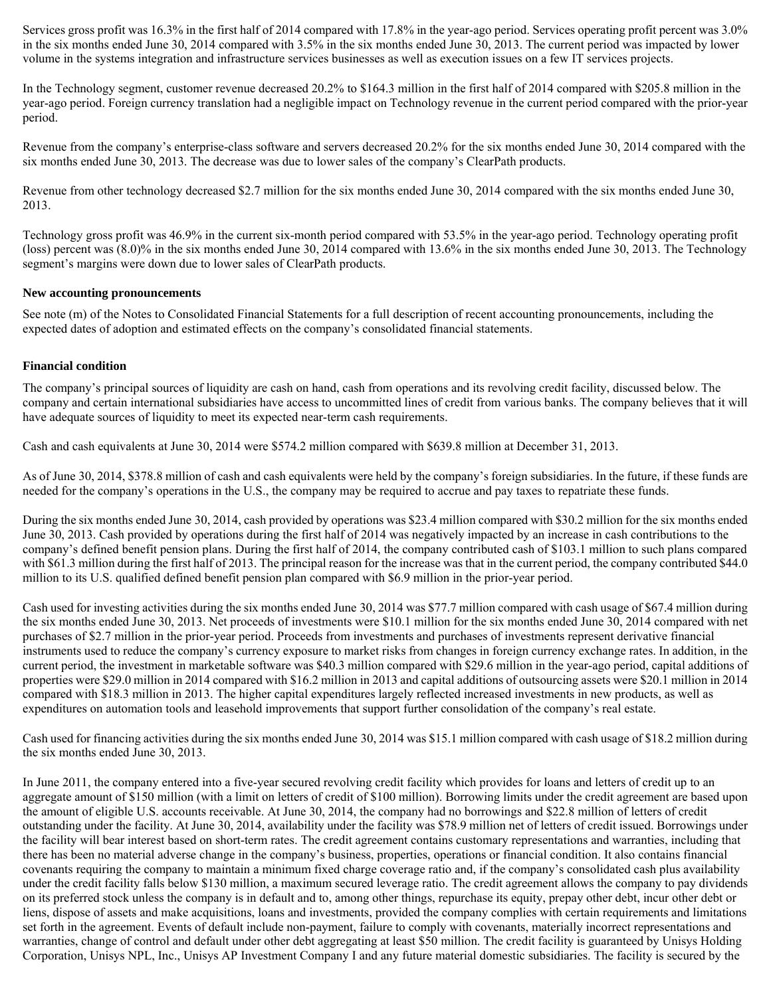Services gross profit was 16.3% in the first half of 2014 compared with 17.8% in the year-ago period. Services operating profit percent was 3.0% in the six months ended June 30, 2014 compared with 3.5% in the six months ended June 30, 2013. The current period was impacted by lower volume in the systems integration and infrastructure services businesses as well as execution issues on a few IT services projects.

In the Technology segment, customer revenue decreased 20.2% to \$164.3 million in the first half of 2014 compared with \$205.8 million in the year-ago period. Foreign currency translation had a negligible impact on Technology revenue in the current period compared with the prior-year period.

Revenue from the company's enterprise-class software and servers decreased 20.2% for the six months ended June 30, 2014 compared with the six months ended June 30, 2013. The decrease was due to lower sales of the company's ClearPath products.

Revenue from other technology decreased \$2.7 million for the six months ended June 30, 2014 compared with the six months ended June 30, 2013.

Technology gross profit was 46.9% in the current six-month period compared with 53.5% in the year-ago period. Technology operating profit (loss) percent was (8.0)% in the six months ended June 30, 2014 compared with 13.6% in the six months ended June 30, 2013. The Technology segment's margins were down due to lower sales of ClearPath products.

#### **New accounting pronouncements**

See note (m) of the Notes to Consolidated Financial Statements for a full description of recent accounting pronouncements, including the expected dates of adoption and estimated effects on the company's consolidated financial statements.

#### **Financial condition**

The company's principal sources of liquidity are cash on hand, cash from operations and its revolving credit facility, discussed below. The company and certain international subsidiaries have access to uncommitted lines of credit from various banks. The company believes that it will have adequate sources of liquidity to meet its expected near-term cash requirements.

Cash and cash equivalents at June 30, 2014 were \$574.2 million compared with \$639.8 million at December 31, 2013.

As of June 30, 2014, \$378.8 million of cash and cash equivalents were held by the company's foreign subsidiaries. In the future, if these funds are needed for the company's operations in the U.S., the company may be required to accrue and pay taxes to repatriate these funds.

During the six months ended June 30, 2014, cash provided by operations was \$23.4 million compared with \$30.2 million for the six months ended June 30, 2013. Cash provided by operations during the first half of 2014 was negatively impacted by an increase in cash contributions to the company's defined benefit pension plans. During the first half of 2014, the company contributed cash of \$103.1 million to such plans compared with \$61.3 million during the first half of 2013. The principal reason for the increase was that in the current period, the company contributed \$44.0 million to its U.S. qualified defined benefit pension plan compared with \$6.9 million in the prior-year period.

Cash used for investing activities during the six months ended June 30, 2014 was \$77.7 million compared with cash usage of \$67.4 million during the six months ended June 30, 2013. Net proceeds of investments were \$10.1 million for the six months ended June 30, 2014 compared with net purchases of \$2.7 million in the prior-year period. Proceeds from investments and purchases of investments represent derivative financial instruments used to reduce the company's currency exposure to market risks from changes in foreign currency exchange rates. In addition, in the current period, the investment in marketable software was \$40.3 million compared with \$29.6 million in the year-ago period, capital additions of properties were \$29.0 million in 2014 compared with \$16.2 million in 2013 and capital additions of outsourcing assets were \$20.1 million in 2014 compared with \$18.3 million in 2013. The higher capital expenditures largely reflected increased investments in new products, as well as expenditures on automation tools and leasehold improvements that support further consolidation of the company's real estate.

Cash used for financing activities during the six months ended June 30, 2014 was \$15.1 million compared with cash usage of \$18.2 million during the six months ended June 30, 2013.

In June 2011, the company entered into a five-year secured revolving credit facility which provides for loans and letters of credit up to an aggregate amount of \$150 million (with a limit on letters of credit of \$100 million). Borrowing limits under the credit agreement are based upon the amount of eligible U.S. accounts receivable. At June 30, 2014, the company had no borrowings and \$22.8 million of letters of credit outstanding under the facility. At June 30, 2014, availability under the facility was \$78.9 million net of letters of credit issued. Borrowings under the facility will bear interest based on short-term rates. The credit agreement contains customary representations and warranties, including that there has been no material adverse change in the company's business, properties, operations or financial condition. It also contains financial covenants requiring the company to maintain a minimum fixed charge coverage ratio and, if the company's consolidated cash plus availability under the credit facility falls below \$130 million, a maximum secured leverage ratio. The credit agreement allows the company to pay dividends on its preferred stock unless the company is in default and to, among other things, repurchase its equity, prepay other debt, incur other debt or liens, dispose of assets and make acquisitions, loans and investments, provided the company complies with certain requirements and limitations set forth in the agreement. Events of default include non-payment, failure to comply with covenants, materially incorrect representations and warranties, change of control and default under other debt aggregating at least \$50 million. The credit facility is guaranteed by Unisys Holding Corporation, Unisys NPL, Inc., Unisys AP Investment Company I and any future material domestic subsidiaries. The facility is secured by the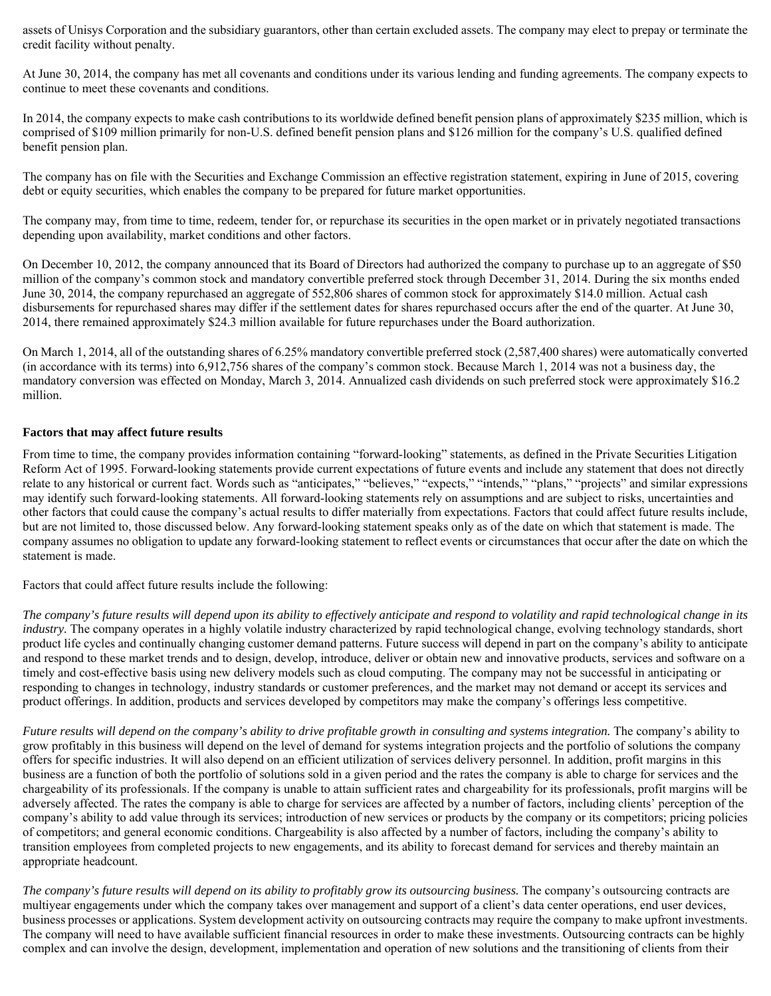assets of Unisys Corporation and the subsidiary guarantors, other than certain excluded assets. The company may elect to prepay or terminate the credit facility without penalty.

At June 30, 2014, the company has met all covenants and conditions under its various lending and funding agreements. The company expects to continue to meet these covenants and conditions.

In 2014, the company expects to make cash contributions to its worldwide defined benefit pension plans of approximately \$235 million, which is comprised of \$109 million primarily for non-U.S. defined benefit pension plans and \$126 million for the company's U.S. qualified defined benefit pension plan.

The company has on file with the Securities and Exchange Commission an effective registration statement, expiring in June of 2015, covering debt or equity securities, which enables the company to be prepared for future market opportunities.

The company may, from time to time, redeem, tender for, or repurchase its securities in the open market or in privately negotiated transactions depending upon availability, market conditions and other factors.

On December 10, 2012, the company announced that its Board of Directors had authorized the company to purchase up to an aggregate of \$50 million of the company's common stock and mandatory convertible preferred stock through December 31, 2014. During the six months ended June 30, 2014, the company repurchased an aggregate of 552,806 shares of common stock for approximately \$14.0 million. Actual cash disbursements for repurchased shares may differ if the settlement dates for shares repurchased occurs after the end of the quarter. At June 30, 2014, there remained approximately \$24.3 million available for future repurchases under the Board authorization.

On March 1, 2014, all of the outstanding shares of 6.25% mandatory convertible preferred stock (2,587,400 shares) were automatically converted (in accordance with its terms) into 6,912,756 shares of the company's common stock. Because March 1, 2014 was not a business day, the mandatory conversion was effected on Monday, March 3, 2014. Annualized cash dividends on such preferred stock were approximately \$16.2 million.

#### **Factors that may affect future results**

From time to time, the company provides information containing "forward-looking" statements, as defined in the Private Securities Litigation Reform Act of 1995. Forward-looking statements provide current expectations of future events and include any statement that does not directly relate to any historical or current fact. Words such as "anticipates," "believes," "expects," "intends," "plans," "projects" and similar expressions may identify such forward-looking statements. All forward-looking statements rely on assumptions and are subject to risks, uncertainties and other factors that could cause the company's actual results to differ materially from expectations. Factors that could affect future results include, but are not limited to, those discussed below. Any forward-looking statement speaks only as of the date on which that statement is made. The company assumes no obligation to update any forward-looking statement to reflect events or circumstances that occur after the date on which the statement is made.

Factors that could affect future results include the following:

*The company's future results will depend upon its ability to effectively anticipate and respond to volatility and rapid technological change in its industry*. The company operates in a highly volatile industry characterized by rapid technological change, evolving technology standards, short product life cycles and continually changing customer demand patterns. Future success will depend in part on the company's ability to anticipate and respond to these market trends and to design, develop, introduce, deliver or obtain new and innovative products, services and software on a timely and cost-effective basis using new delivery models such as cloud computing. The company may not be successful in anticipating or responding to changes in technology, industry standards or customer preferences, and the market may not demand or accept its services and product offerings. In addition, products and services developed by competitors may make the company's offerings less competitive.

*Future results will depend on the company's ability to drive profitable growth in consulting and systems integration.* The company's ability to grow profitably in this business will depend on the level of demand for systems integration projects and the portfolio of solutions the company offers for specific industries. It will also depend on an efficient utilization of services delivery personnel. In addition, profit margins in this business are a function of both the portfolio of solutions sold in a given period and the rates the company is able to charge for services and the chargeability of its professionals. If the company is unable to attain sufficient rates and chargeability for its professionals, profit margins will be adversely affected. The rates the company is able to charge for services are affected by a number of factors, including clients' perception of the company's ability to add value through its services; introduction of new services or products by the company or its competitors; pricing policies of competitors; and general economic conditions. Chargeability is also affected by a number of factors, including the company's ability to transition employees from completed projects to new engagements, and its ability to forecast demand for services and thereby maintain an appropriate headcount.

*The company's future results will depend on its ability to profitably grow its outsourcing business.* The company's outsourcing contracts are multiyear engagements under which the company takes over management and support of a client's data center operations, end user devices, business processes or applications. System development activity on outsourcing contracts may require the company to make upfront investments. The company will need to have available sufficient financial resources in order to make these investments. Outsourcing contracts can be highly complex and can involve the design, development, implementation and operation of new solutions and the transitioning of clients from their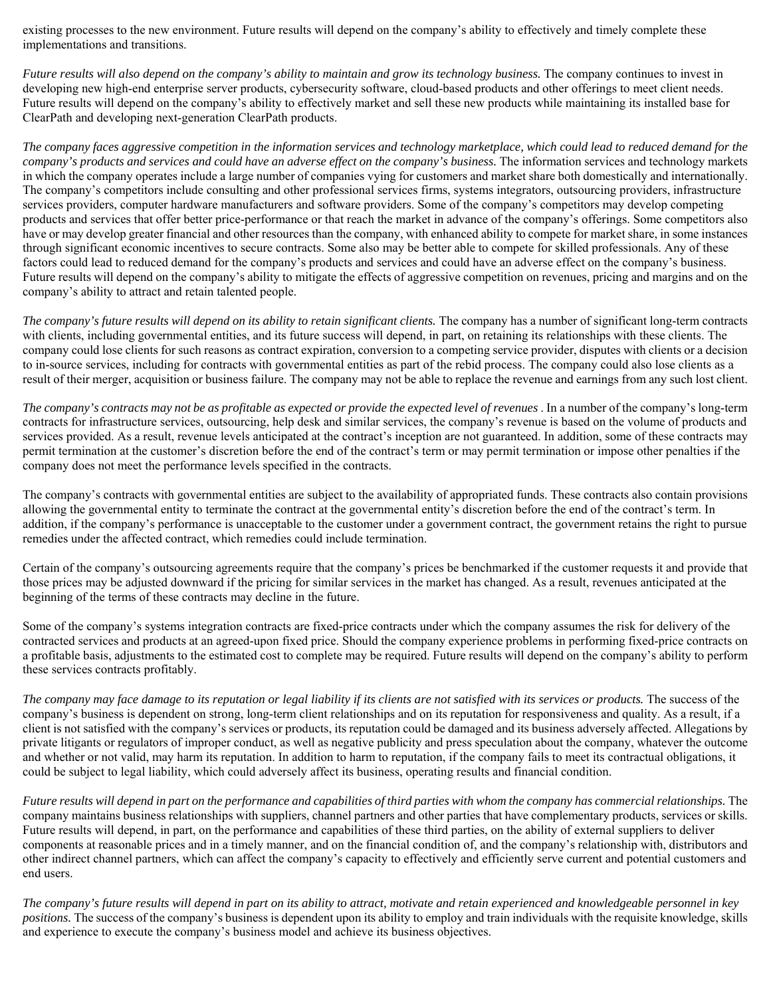existing processes to the new environment. Future results will depend on the company's ability to effectively and timely complete these implementations and transitions.

*Future results will also depend on the company's ability to maintain and grow its technology business.* The company continues to invest in developing new high-end enterprise server products, cybersecurity software, cloud-based products and other offerings to meet client needs. Future results will depend on the company's ability to effectively market and sell these new products while maintaining its installed base for ClearPath and developing next-generation ClearPath products.

*The company faces aggressive competition in the information services and technology marketplace, which could lead to reduced demand for the company's products and services and could have an adverse effect on the company's business.* The information services and technology markets in which the company operates include a large number of companies vying for customers and market share both domestically and internationally. The company's competitors include consulting and other professional services firms, systems integrators, outsourcing providers, infrastructure services providers, computer hardware manufacturers and software providers. Some of the company's competitors may develop competing products and services that offer better price-performance or that reach the market in advance of the company's offerings. Some competitors also have or may develop greater financial and other resources than the company, with enhanced ability to compete for market share, in some instances through significant economic incentives to secure contracts. Some also may be better able to compete for skilled professionals. Any of these factors could lead to reduced demand for the company's products and services and could have an adverse effect on the company's business. Future results will depend on the company's ability to mitigate the effects of aggressive competition on revenues, pricing and margins and on the company's ability to attract and retain talented people.

*The company's future results will depend on its ability to retain significant clients.* The company has a number of significant long-term contracts with clients, including governmental entities, and its future success will depend, in part, on retaining its relationships with these clients. The company could lose clients for such reasons as contract expiration, conversion to a competing service provider, disputes with clients or a decision to in-source services, including for contracts with governmental entities as part of the rebid process. The company could also lose clients as a result of their merger, acquisition or business failure. The company may not be able to replace the revenue and earnings from any such lost client.

*The company's contracts may not be as profitable as expected or provide the expected level of revenues* . In a number of the company's long-term contracts for infrastructure services, outsourcing, help desk and similar services, the company's revenue is based on the volume of products and services provided. As a result, revenue levels anticipated at the contract's inception are not guaranteed. In addition, some of these contracts may permit termination at the customer's discretion before the end of the contract's term or may permit termination or impose other penalties if the company does not meet the performance levels specified in the contracts.

The company's contracts with governmental entities are subject to the availability of appropriated funds. These contracts also contain provisions allowing the governmental entity to terminate the contract at the governmental entity's discretion before the end of the contract's term. In addition, if the company's performance is unacceptable to the customer under a government contract, the government retains the right to pursue remedies under the affected contract, which remedies could include termination.

Certain of the company's outsourcing agreements require that the company's prices be benchmarked if the customer requests it and provide that those prices may be adjusted downward if the pricing for similar services in the market has changed. As a result, revenues anticipated at the beginning of the terms of these contracts may decline in the future.

Some of the company's systems integration contracts are fixed-price contracts under which the company assumes the risk for delivery of the contracted services and products at an agreed-upon fixed price. Should the company experience problems in performing fixed-price contracts on a profitable basis, adjustments to the estimated cost to complete may be required. Future results will depend on the company's ability to perform these services contracts profitably.

*The company may face damage to its reputation or legal liability if its clients are not satisfied with its services or products.* The success of the company's business is dependent on strong, long-term client relationships and on its reputation for responsiveness and quality. As a result, if a client is not satisfied with the company's services or products, its reputation could be damaged and its business adversely affected. Allegations by private litigants or regulators of improper conduct, as well as negative publicity and press speculation about the company, whatever the outcome and whether or not valid, may harm its reputation. In addition to harm to reputation, if the company fails to meet its contractual obligations, it could be subject to legal liability, which could adversely affect its business, operating results and financial condition.

*Future results will depend in part on the performance and capabilities of third parties with whom the company has commercial relationships.* The company maintains business relationships with suppliers, channel partners and other parties that have complementary products, services or skills. Future results will depend, in part, on the performance and capabilities of these third parties, on the ability of external suppliers to deliver components at reasonable prices and in a timely manner, and on the financial condition of, and the company's relationship with, distributors and other indirect channel partners, which can affect the company's capacity to effectively and efficiently serve current and potential customers and end users.

*The company's future results will depend in part on its ability to attract, motivate and retain experienced and knowledgeable personnel in key positions.* The success of the company's business is dependent upon its ability to employ and train individuals with the requisite knowledge, skills and experience to execute the company's business model and achieve its business objectives.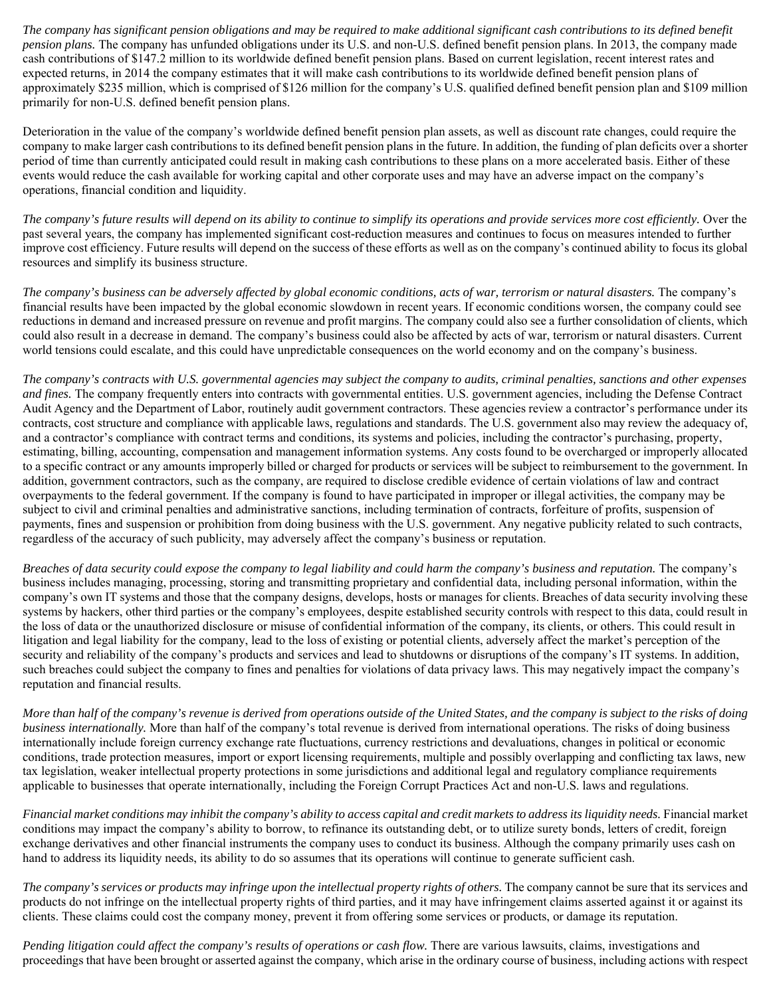*The company has significant pension obligations and may be required to make additional significant cash contributions to its defined benefit pension plans.* The company has unfunded obligations under its U.S. and non-U.S. defined benefit pension plans. In 2013, the company made cash contributions of \$147.2 million to its worldwide defined benefit pension plans. Based on current legislation, recent interest rates and expected returns, in 2014 the company estimates that it will make cash contributions to its worldwide defined benefit pension plans of approximately \$235 million, which is comprised of \$126 million for the company's U.S. qualified defined benefit pension plan and \$109 million primarily for non-U.S. defined benefit pension plans.

Deterioration in the value of the company's worldwide defined benefit pension plan assets, as well as discount rate changes, could require the company to make larger cash contributions to its defined benefit pension plans in the future. In addition, the funding of plan deficits over a shorter period of time than currently anticipated could result in making cash contributions to these plans on a more accelerated basis. Either of these events would reduce the cash available for working capital and other corporate uses and may have an adverse impact on the company's operations, financial condition and liquidity.

*The company's future results will depend on its ability to continue to simplify its operations and provide services more cost efficiently.* Over the past several years, the company has implemented significant cost-reduction measures and continues to focus on measures intended to further improve cost efficiency. Future results will depend on the success of these efforts as well as on the company's continued ability to focus its global resources and simplify its business structure.

*The company's business can be adversely affected by global economic conditions, acts of war, terrorism or natural disasters.* The company's financial results have been impacted by the global economic slowdown in recent years. If economic conditions worsen, the company could see reductions in demand and increased pressure on revenue and profit margins. The company could also see a further consolidation of clients, which could also result in a decrease in demand. The company's business could also be affected by acts of war, terrorism or natural disasters. Current world tensions could escalate, and this could have unpredictable consequences on the world economy and on the company's business.

*The company's contracts with U.S. governmental agencies may subject the company to audits, criminal penalties, sanctions and other expenses and fines.* The company frequently enters into contracts with governmental entities. U.S. government agencies, including the Defense Contract Audit Agency and the Department of Labor, routinely audit government contractors. These agencies review a contractor's performance under its contracts, cost structure and compliance with applicable laws, regulations and standards. The U.S. government also may review the adequacy of, and a contractor's compliance with contract terms and conditions, its systems and policies, including the contractor's purchasing, property, estimating, billing, accounting, compensation and management information systems. Any costs found to be overcharged or improperly allocated to a specific contract or any amounts improperly billed or charged for products or services will be subject to reimbursement to the government. In addition, government contractors, such as the company, are required to disclose credible evidence of certain violations of law and contract overpayments to the federal government. If the company is found to have participated in improper or illegal activities, the company may be subject to civil and criminal penalties and administrative sanctions, including termination of contracts, forfeiture of profits, suspension of payments, fines and suspension or prohibition from doing business with the U.S. government. Any negative publicity related to such contracts, regardless of the accuracy of such publicity, may adversely affect the company's business or reputation.

*Breaches of data security could expose the company to legal liability and could harm the company's business and reputation.* The company's business includes managing, processing, storing and transmitting proprietary and confidential data, including personal information, within the company's own IT systems and those that the company designs, develops, hosts or manages for clients. Breaches of data security involving these systems by hackers, other third parties or the company's employees, despite established security controls with respect to this data, could result in the loss of data or the unauthorized disclosure or misuse of confidential information of the company, its clients, or others. This could result in litigation and legal liability for the company, lead to the loss of existing or potential clients, adversely affect the market's perception of the security and reliability of the company's products and services and lead to shutdowns or disruptions of the company's IT systems. In addition, such breaches could subject the company to fines and penalties for violations of data privacy laws. This may negatively impact the company's reputation and financial results.

*More than half of the company's revenue is derived from operations outside of the United States, and the company is subject to the risks of doing business internationally.* More than half of the company's total revenue is derived from international operations. The risks of doing business internationally include foreign currency exchange rate fluctuations, currency restrictions and devaluations, changes in political or economic conditions, trade protection measures, import or export licensing requirements, multiple and possibly overlapping and conflicting tax laws, new tax legislation, weaker intellectual property protections in some jurisdictions and additional legal and regulatory compliance requirements applicable to businesses that operate internationally, including the Foreign Corrupt Practices Act and non-U.S. laws and regulations.

*Financial market conditions may inhibit the company's ability to access capital and credit markets to address its liquidity needs.* Financial market conditions may impact the company's ability to borrow, to refinance its outstanding debt, or to utilize surety bonds, letters of credit, foreign exchange derivatives and other financial instruments the company uses to conduct its business. Although the company primarily uses cash on hand to address its liquidity needs, its ability to do so assumes that its operations will continue to generate sufficient cash.

*The company's services or products may infringe upon the intellectual property rights of others.* The company cannot be sure that its services and products do not infringe on the intellectual property rights of third parties, and it may have infringement claims asserted against it or against its clients. These claims could cost the company money, prevent it from offering some services or products, or damage its reputation.

*Pending litigation could affect the company's results of operations or cash flow.* There are various lawsuits, claims, investigations and proceedings that have been brought or asserted against the company, which arise in the ordinary course of business, including actions with respect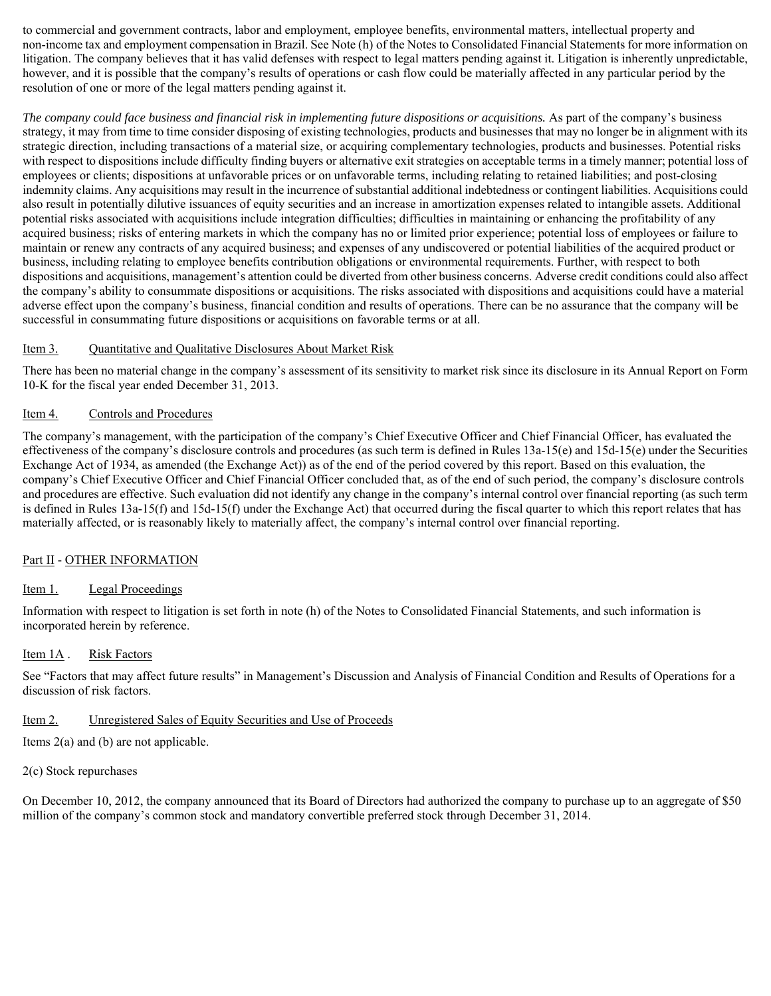to commercial and government contracts, labor and employment, employee benefits, environmental matters, intellectual property and non-income tax and employment compensation in Brazil. See Note (h) of the Notes to Consolidated Financial Statements for more information on litigation. The company believes that it has valid defenses with respect to legal matters pending against it. Litigation is inherently unpredictable, however, and it is possible that the company's results of operations or cash flow could be materially affected in any particular period by the resolution of one or more of the legal matters pending against it.

*The company could face business and financial risk in implementing future dispositions or acquisitions.* As part of the company's business strategy, it may from time to time consider disposing of existing technologies, products and businesses that may no longer be in alignment with its strategic direction, including transactions of a material size, or acquiring complementary technologies, products and businesses. Potential risks with respect to dispositions include difficulty finding buyers or alternative exit strategies on acceptable terms in a timely manner; potential loss of employees or clients; dispositions at unfavorable prices or on unfavorable terms, including relating to retained liabilities; and post-closing indemnity claims. Any acquisitions may result in the incurrence of substantial additional indebtedness or contingent liabilities. Acquisitions could also result in potentially dilutive issuances of equity securities and an increase in amortization expenses related to intangible assets. Additional potential risks associated with acquisitions include integration difficulties; difficulties in maintaining or enhancing the profitability of any acquired business; risks of entering markets in which the company has no or limited prior experience; potential loss of employees or failure to maintain or renew any contracts of any acquired business; and expenses of any undiscovered or potential liabilities of the acquired product or business, including relating to employee benefits contribution obligations or environmental requirements. Further, with respect to both dispositions and acquisitions, management's attention could be diverted from other business concerns. Adverse credit conditions could also affect the company's ability to consummate dispositions or acquisitions. The risks associated with dispositions and acquisitions could have a material adverse effect upon the company's business, financial condition and results of operations. There can be no assurance that the company will be successful in consummating future dispositions or acquisitions on favorable terms or at all.

#### Item 3. Quantitative and Qualitative Disclosures About Market Risk

There has been no material change in the company's assessment of its sensitivity to market risk since its disclosure in its Annual Report on Form 10-K for the fiscal year ended December 31, 2013.

#### Item 4. Controls and Procedures

The company's management, with the participation of the company's Chief Executive Officer and Chief Financial Officer, has evaluated the effectiveness of the company's disclosure controls and procedures (as such term is defined in Rules  $13a-15(e)$  and  $15d-15(e)$  under the Securities Exchange Act of 1934, as amended (the Exchange Act)) as of the end of the period covered by this report. Based on this evaluation, the company's Chief Executive Officer and Chief Financial Officer concluded that, as of the end of such period, the company's disclosure controls and procedures are effective. Such evaluation did not identify any change in the company's internal control over financial reporting (as such term is defined in Rules 13a-15(f) and 15d-15(f) under the Exchange Act) that occurred during the fiscal quarter to which this report relates that has materially affected, or is reasonably likely to materially affect, the company's internal control over financial reporting.

#### Part II - OTHER INFORMATION

#### Item 1. Legal Proceedings

Information with respect to litigation is set forth in note (h) of the Notes to Consolidated Financial Statements, and such information is incorporated herein by reference.

#### Item 1A . Risk Factors

See "Factors that may affect future results" in Management's Discussion and Analysis of Financial Condition and Results of Operations for a discussion of risk factors.

#### Item 2. Unregistered Sales of Equity Securities and Use of Proceeds

Items 2(a) and (b) are not applicable.

#### 2(c) Stock repurchases

On December 10, 2012, the company announced that its Board of Directors had authorized the company to purchase up to an aggregate of \$50 million of the company's common stock and mandatory convertible preferred stock through December 31, 2014.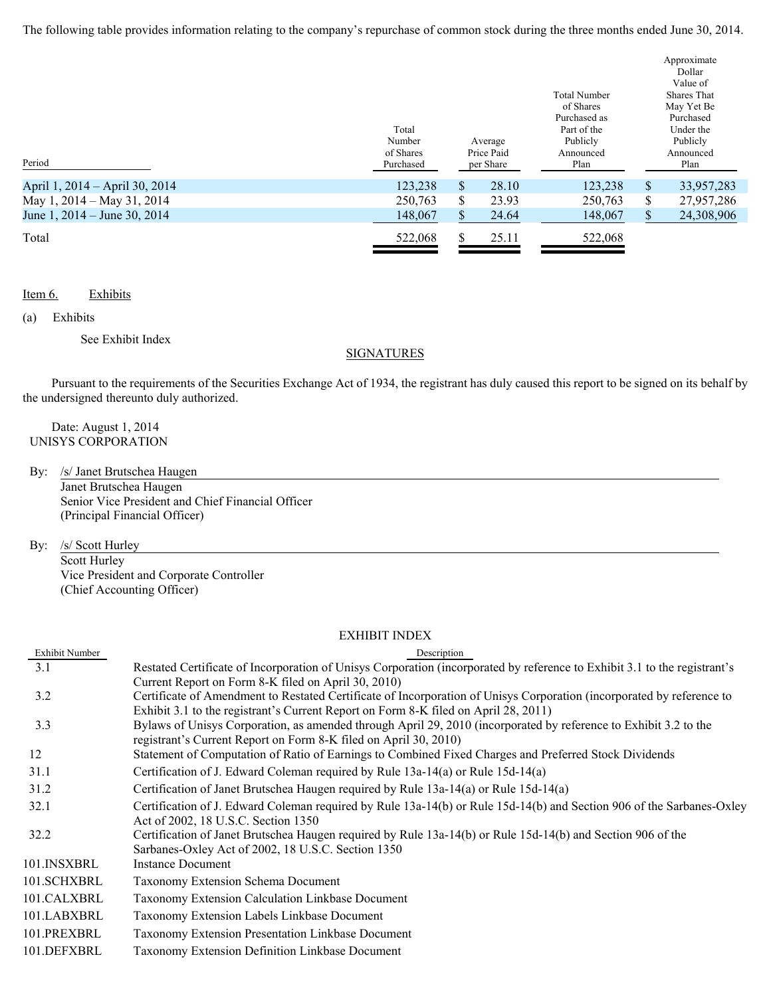The following table provides information relating to the company's repurchase of common stock during the three months ended June 30, 2014.

| Period                           | Total<br>Number<br>of Shares<br>Purchased |              | Average<br>Price Paid<br>per Share | <b>Total Number</b><br>of Shares<br>Purchased as<br>Part of the<br>Publicly<br>Announced<br>Plan |    | Approximate<br>Dollar<br>Value of<br><b>Shares That</b><br>May Yet Be<br>Purchased<br>Under the<br>Publicly<br>Announced<br>Plan |
|----------------------------------|-------------------------------------------|--------------|------------------------------------|--------------------------------------------------------------------------------------------------|----|----------------------------------------------------------------------------------------------------------------------------------|
| April 1, 2014 – April 30, 2014   | 123,238                                   | $\mathbf{s}$ | 28.10                              | 123,238                                                                                          | \$ | 33,957,283                                                                                                                       |
| May 1, 2014 – May 31, 2014       | 250,763                                   | \$           | 23.93                              | 250,763                                                                                          | S  | 27,957,286                                                                                                                       |
| June 1, $2014 -$ June 30, $2014$ | 148,067                                   |              | 24.64                              | 148,067                                                                                          |    | 24,308,906                                                                                                                       |
| Total                            | 522,068                                   |              | 25.11                              | 522,068                                                                                          |    |                                                                                                                                  |

#### Item 6. Exhibits

(a) Exhibits

See Exhibit Index

#### **SIGNATURES**

Pursuant to the requirements of the Securities Exchange Act of 1934, the registrant has duly caused this report to be signed on its behalf by the undersigned thereunto duly authorized.

Date: August 1, 2014 UNISYS CORPORATION

By: /s/ Janet Brutschea Haugen

Janet Brutschea Haugen Senior Vice President and Chief Financial Officer (Principal Financial Officer)

By: /s/ Scott Hurley

Scott Hurley Vice President and Corporate Controller (Chief Accounting Officer)

#### EXHIBIT INDEX

| <b>Exhibit Number</b> | Description                                                                                                               |
|-----------------------|---------------------------------------------------------------------------------------------------------------------------|
| 3.1                   | Restated Certificate of Incorporation of Unisys Corporation (incorporated by reference to Exhibit 3.1 to the registrant's |
|                       | Current Report on Form 8-K filed on April 30, 2010)                                                                       |
| 3.2                   | Certificate of Amendment to Restated Certificate of Incorporation of Unisys Corporation (incorporated by reference to     |
|                       | Exhibit 3.1 to the registrant's Current Report on Form 8-K filed on April 28, 2011)                                       |
| 3.3                   | Bylaws of Unisys Corporation, as amended through April 29, 2010 (incorporated by reference to Exhibit 3.2 to the          |
|                       | registrant's Current Report on Form 8-K filed on April 30, 2010)                                                          |
| 12                    | Statement of Computation of Ratio of Earnings to Combined Fixed Charges and Preferred Stock Dividends                     |
| 31.1                  | Certification of J. Edward Coleman required by Rule 13a-14(a) or Rule 15d-14(a)                                           |
| 31.2                  | Certification of Janet Brutschea Haugen required by Rule 13a-14(a) or Rule 15d-14(a)                                      |
| 32.1                  | Certification of J. Edward Coleman required by Rule 13a-14(b) or Rule 15d-14(b) and Section 906 of the Sarbanes-Oxley     |
|                       | Act of 2002, 18 U.S.C. Section 1350                                                                                       |
| 32.2                  | Certification of Janet Brutschea Haugen required by Rule 13a-14(b) or Rule 15d-14(b) and Section 906 of the               |
|                       | Sarbanes-Oxley Act of 2002, 18 U.S.C. Section 1350                                                                        |
| 101.INSXBRL           | <b>Instance Document</b>                                                                                                  |
| 101.SCHXBRL           | <b>Taxonomy Extension Schema Document</b>                                                                                 |
| 101.CALXBRL           | Taxonomy Extension Calculation Linkbase Document                                                                          |
| 101.LABXBRL           | Taxonomy Extension Labels Linkbase Document                                                                               |
| 101.PREXBRL           | Taxonomy Extension Presentation Linkbase Document                                                                         |
| 101.DEFXBRL           | <b>Taxonomy Extension Definition Linkbase Document</b>                                                                    |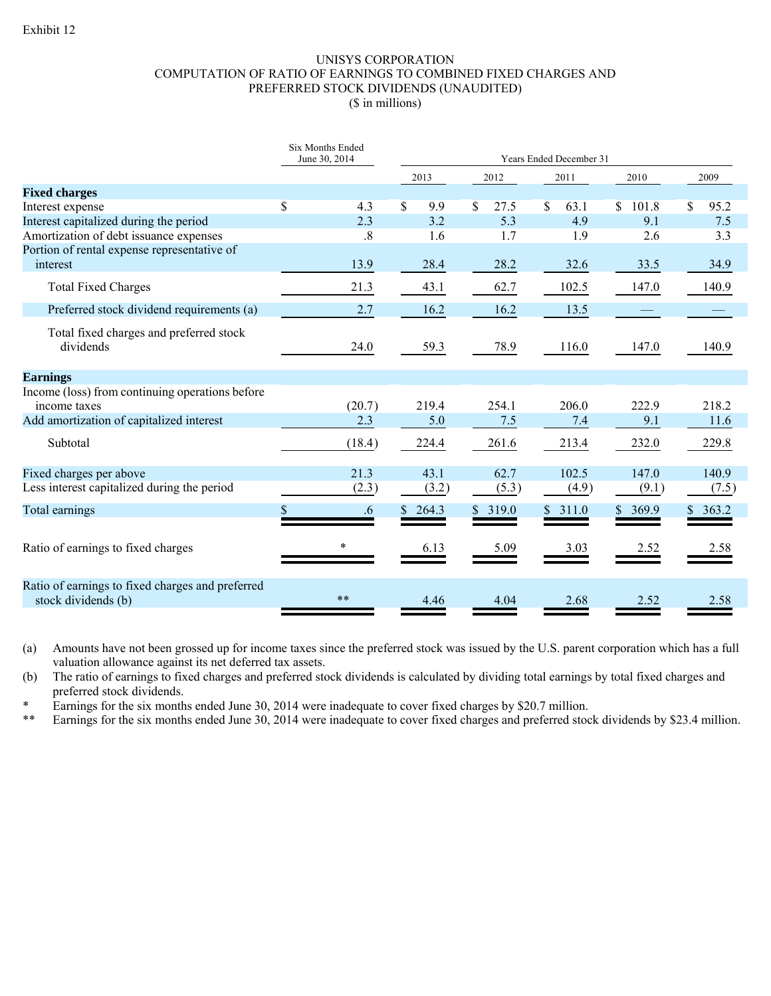#### UNISYS CORPORATION COMPUTATION OF RATIO OF EARNINGS TO COMBINED FIXED CHARGES AND PREFERRED STOCK DIVIDENDS (UNAUDITED) (\$ in millions)

|                                                                         | Six Months Ended<br>June 30, 2014 |                        | Years Ended December 31 |       |    |         |    |         |    |       |    |         |  |
|-------------------------------------------------------------------------|-----------------------------------|------------------------|-------------------------|-------|----|---------|----|---------|----|-------|----|---------|--|
|                                                                         |                                   |                        | 2013                    |       |    | 2012    |    | 2011    |    | 2010  |    | 2009    |  |
| <b>Fixed charges</b>                                                    |                                   |                        |                         |       |    |         |    |         |    |       |    |         |  |
| Interest expense                                                        | \$                                | 4.3                    | \$                      | 9.9   | \$ | 27.5    | \$ | 63.1    | \$ | 101.8 | \$ | 95.2    |  |
| Interest capitalized during the period                                  |                                   | 2.3                    |                         | 3.2   |    | 5.3     |    | 4.9     |    | 9.1   |    | 7.5     |  |
| Amortization of debt issuance expenses                                  |                                   | $\cdot$ <sup>8</sup> . |                         | 1.6   |    | 1.7     |    | 1.9     |    | 2.6   |    | 3.3     |  |
| Portion of rental expense representative of                             |                                   |                        |                         |       |    |         |    |         |    |       |    |         |  |
| interest                                                                |                                   | 13.9                   |                         | 28.4  |    | 28.2    |    | 32.6    |    | 33.5  |    | 34.9    |  |
| <b>Total Fixed Charges</b>                                              |                                   | 21.3                   |                         | 43.1  |    | 62.7    |    | 102.5   |    | 147.0 |    | 140.9   |  |
| Preferred stock dividend requirements (a)                               |                                   | 2.7                    |                         | 16.2  |    | 16.2    |    | 13.5    |    |       |    |         |  |
| Total fixed charges and preferred stock<br>dividends                    |                                   | 24.0                   |                         | 59.3  |    | 78.9    |    | 116.0   |    | 147.0 |    | 140.9   |  |
| <b>Earnings</b>                                                         |                                   |                        |                         |       |    |         |    |         |    |       |    |         |  |
| Income (loss) from continuing operations before                         |                                   |                        |                         |       |    |         |    |         |    |       |    |         |  |
| income taxes                                                            |                                   | (20.7)                 |                         | 219.4 |    | 254.1   |    | 206.0   |    | 222.9 |    | 218.2   |  |
| Add amortization of capitalized interest                                |                                   | 2.3                    |                         | 5.0   |    | 7.5     |    | 7.4     |    | 9.1   |    | 11.6    |  |
| Subtotal                                                                |                                   | (18.4)                 |                         | 224.4 |    | 261.6   |    | 213.4   |    | 232.0 |    | 229.8   |  |
| Fixed charges per above                                                 |                                   | 21.3                   |                         | 43.1  |    | 62.7    |    | 102.5   |    | 147.0 |    | 140.9   |  |
| Less interest capitalized during the period                             |                                   | (2.3)                  |                         | (3.2) |    | (5.3)   |    | (4.9)   |    | (9.1) |    | (7.5)   |  |
| Total earnings                                                          | S.                                | .6                     | S.                      | 264.3 |    | \$319.0 |    | \$311.0 |    | 369.9 |    | \$363.2 |  |
| Ratio of earnings to fixed charges                                      |                                   | $\ast$                 |                         | 6.13  |    | 5.09    |    | 3.03    |    | 2.52  |    | 2.58    |  |
| Ratio of earnings to fixed charges and preferred<br>stock dividends (b) |                                   | $***$                  |                         | 4.46  |    | 4.04    |    | 2.68    |    | 2.52  |    | 2.58    |  |

(a) Amounts have not been grossed up for income taxes since the preferred stock was issued by the U.S. parent corporation which has a full valuation allowance against its net deferred tax assets.

(b) The ratio of earnings to fixed charges and preferred stock dividends is calculated by dividing total earnings by total fixed charges and preferred stock dividends.

\* Earnings for the six months ended June 30, 2014 were inadequate to cover fixed charges by \$20.7 million.

Earnings for the six months ended June 30, 2014 were inadequate to cover fixed charges and preferred stock dividends by \$23.4 million.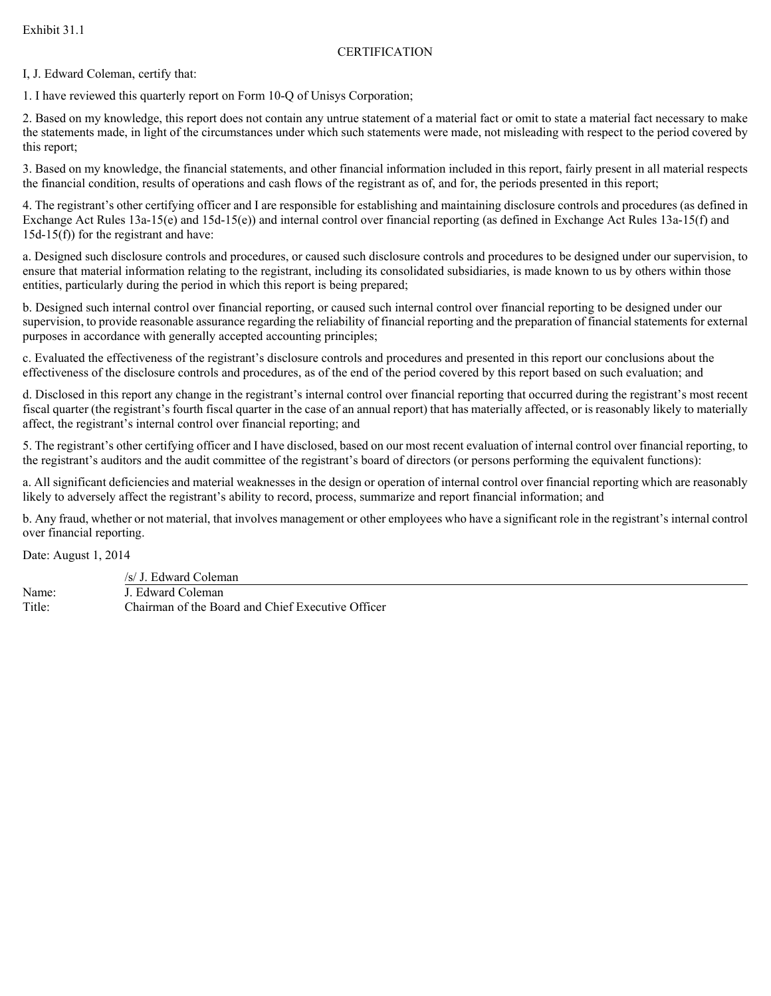#### CERTIFICATION

I, J. Edward Coleman, certify that:

1. I have reviewed this quarterly report on Form 10-Q of Unisys Corporation;

2. Based on my knowledge, this report does not contain any untrue statement of a material fact or omit to state a material fact necessary to make the statements made, in light of the circumstances under which such statements were made, not misleading with respect to the period covered by this report;

3. Based on my knowledge, the financial statements, and other financial information included in this report, fairly present in all material respects the financial condition, results of operations and cash flows of the registrant as of, and for, the periods presented in this report;

4. The registrant's other certifying officer and I are responsible for establishing and maintaining disclosure controls and procedures (as defined in Exchange Act Rules 13a-15(e) and 15d-15(e)) and internal control over financial reporting (as defined in Exchange Act Rules 13a-15(f) and 15d-15(f)) for the registrant and have:

a. Designed such disclosure controls and procedures, or caused such disclosure controls and procedures to be designed under our supervision, to ensure that material information relating to the registrant, including its consolidated subsidiaries, is made known to us by others within those entities, particularly during the period in which this report is being prepared;

b. Designed such internal control over financial reporting, or caused such internal control over financial reporting to be designed under our supervision, to provide reasonable assurance regarding the reliability of financial reporting and the preparation of financial statements for external purposes in accordance with generally accepted accounting principles;

c. Evaluated the effectiveness of the registrant's disclosure controls and procedures and presented in this report our conclusions about the effectiveness of the disclosure controls and procedures, as of the end of the period covered by this report based on such evaluation; and

d. Disclosed in this report any change in the registrant's internal control over financial reporting that occurred during the registrant's most recent fiscal quarter (the registrant's fourth fiscal quarter in the case of an annual report) that has materially affected, or is reasonably likely to materially affect, the registrant's internal control over financial reporting; and

5. The registrant's other certifying officer and I have disclosed, based on our most recent evaluation of internal control over financial reporting, to the registrant's auditors and the audit committee of the registrant's board of directors (or persons performing the equivalent functions):

a. All significant deficiencies and material weaknesses in the design or operation of internal control over financial reporting which are reasonably likely to adversely affect the registrant's ability to record, process, summarize and report financial information; and

b. Any fraud, whether or not material, that involves management or other employees who have a significant role in the registrant's internal control over financial reporting.

Date: August 1, 2014

/s/ J. Edward Coleman Name: J. Edward Coleman Title: Chairman of the Board and Chief Executive Officer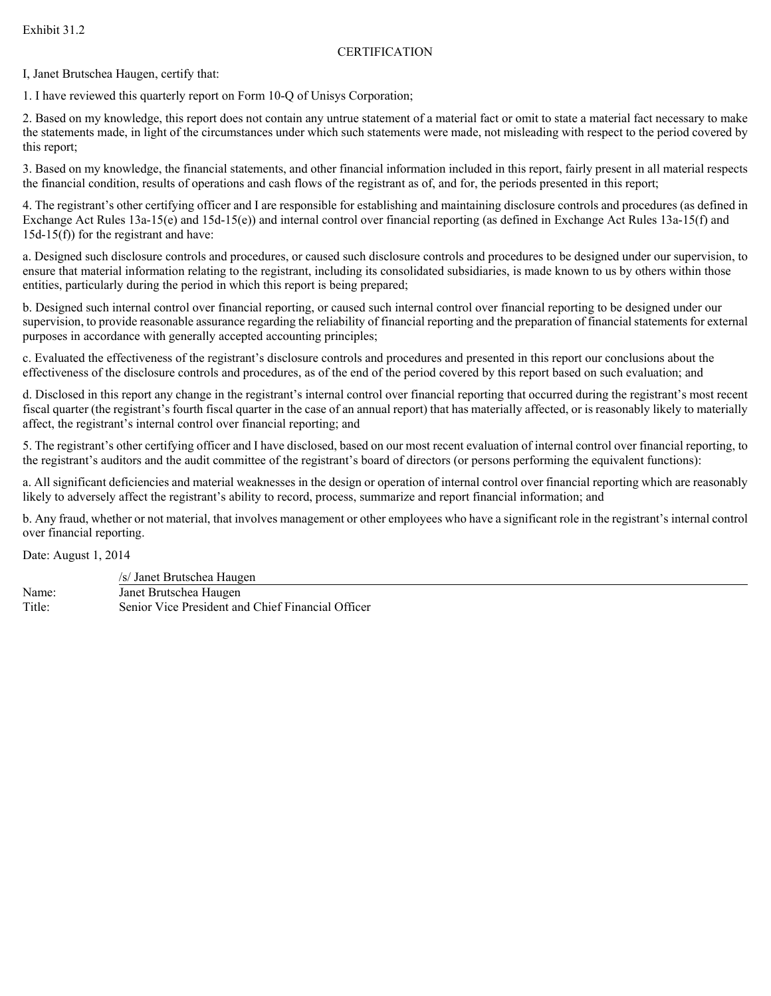#### Exhibit 31.2

#### CERTIFICATION

I, Janet Brutschea Haugen, certify that:

1. I have reviewed this quarterly report on Form 10-Q of Unisys Corporation;

2. Based on my knowledge, this report does not contain any untrue statement of a material fact or omit to state a material fact necessary to make the statements made, in light of the circumstances under which such statements were made, not misleading with respect to the period covered by this report;

3. Based on my knowledge, the financial statements, and other financial information included in this report, fairly present in all material respects the financial condition, results of operations and cash flows of the registrant as of, and for, the periods presented in this report;

4. The registrant's other certifying officer and I are responsible for establishing and maintaining disclosure controls and procedures (as defined in Exchange Act Rules 13a-15(e) and 15d-15(e)) and internal control over financial reporting (as defined in Exchange Act Rules 13a-15(f) and 15d-15(f)) for the registrant and have:

a. Designed such disclosure controls and procedures, or caused such disclosure controls and procedures to be designed under our supervision, to ensure that material information relating to the registrant, including its consolidated subsidiaries, is made known to us by others within those entities, particularly during the period in which this report is being prepared;

b. Designed such internal control over financial reporting, or caused such internal control over financial reporting to be designed under our supervision, to provide reasonable assurance regarding the reliability of financial reporting and the preparation of financial statements for external purposes in accordance with generally accepted accounting principles;

c. Evaluated the effectiveness of the registrant's disclosure controls and procedures and presented in this report our conclusions about the effectiveness of the disclosure controls and procedures, as of the end of the period covered by this report based on such evaluation; and

d. Disclosed in this report any change in the registrant's internal control over financial reporting that occurred during the registrant's most recent fiscal quarter (the registrant's fourth fiscal quarter in the case of an annual report) that has materially affected, or is reasonably likely to materially affect, the registrant's internal control over financial reporting; and

5. The registrant's other certifying officer and I have disclosed, based on our most recent evaluation of internal control over financial reporting, to the registrant's auditors and the audit committee of the registrant's board of directors (or persons performing the equivalent functions):

a. All significant deficiencies and material weaknesses in the design or operation of internal control over financial reporting which are reasonably likely to adversely affect the registrant's ability to record, process, summarize and report financial information; and

b. Any fraud, whether or not material, that involves management or other employees who have a significant role in the registrant's internal control over financial reporting.

Date: August 1, 2014

 /s/ Janet Brutschea Haugen Name: Janet Brutschea Haugen Title: Senior Vice President and Chief Financial Officer